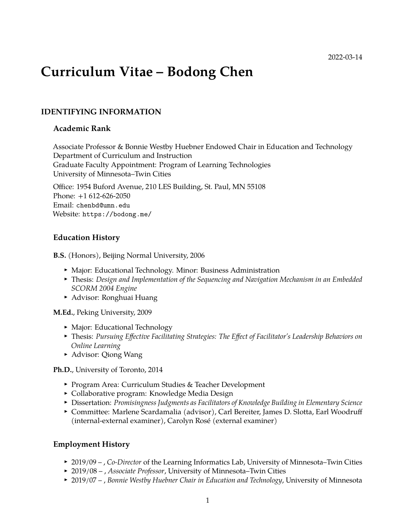# **Curriculum Vitae – Bodong Chen**

### **IDENTIFYING INFORMATION**

#### **Academic Rank**

Associate Professor & Bonnie Westby Huebner Endowed Chair in Education and Technology Department of Curriculum and Instruction Graduate Faculty Appointment: Program of Learning Technologies University of Minnesota–Twin Cities

Office: 1954 Buford Avenue, 210 LES Building, St. Paul, MN 55108 Phone: +1 612-626-2050 Email: [chenbd@umn.edu](mailto:chenbd@umn.edu) Website: <https://bodong.me/>

#### **Education History**

**B.S.** (Honors), Beijing Normal University, 2006

- Major: Educational Technology. Minor: Business Administration
- **Filtum**: *Design and Implementation of the Sequencing and Navigation Mechanism in an Embedded SCORM 2004 Engine*
- ► Advisor: Ronghuai Huang

**M.Ed.**, Peking University, 2009

- Major: Educational Technology
- <sup>I</sup> Thesis: *Pursuing Effective Facilitating Strategies: The Effect of Facilitator's Leadership Behaviors on Online Learning*
- ► Advisor: Qiong Wang

**Ph.D.**, University of Toronto, 2014

- ▶ Program Area: Curriculum Studies & Teacher Development
- Collaborative program: Knowledge Media Design
- **Dissertation: Promisingness Judgments as Facilitators of Knowledge Building in Elementary Science**
- ► Committee: Marlene Scardamalia (advisor), Carl Bereiter, James D. Slotta, Earl Woodruff (internal-external examiner), Carolyn Rosé (external examiner)

#### **Employment History**

- <sup>I</sup> 2019/09 , *Co-Director* of the Learning Informatics Lab, University of Minnesota–Twin Cities
- <sup>I</sup> 2019/08 , *Associate Professor*, University of Minnesota–Twin Cities
- <sup>I</sup> 2019/07 , *Bonnie Westby Huebner Chair in Education and Technology*, University of Minnesota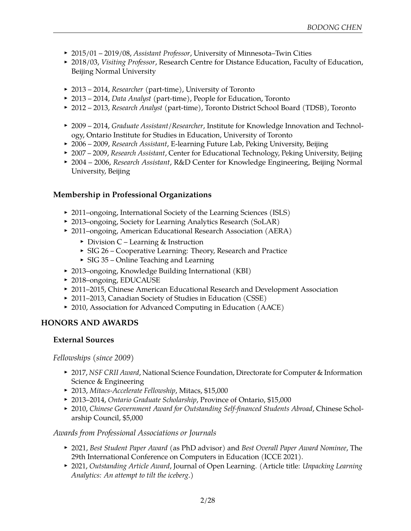- <sup>I</sup> 2015/01 2019/08, *Assistant Professor*, University of Minnesota–Twin Cities
- ▶ 2018/03, *Visiting Professor*, Research Centre for Distance Education, Faculty of Education, Beijing Normal University
- <sup>I</sup> 2013 2014, *Researcher* (part-time), University of Toronto
- <sup>I</sup> 2013 2014, *Data Analyst* (part-time), People for Education, Toronto
- <sup>I</sup> 2012 2013, *Research Analyst* (part-time), Toronto District School Board (TDSB), Toronto
- ► 2009 2014, *Graduate Assistant/Researcher*, Institute for Knowledge Innovation and Technology, Ontario Institute for Studies in Education, University of Toronto
- <sup>I</sup> 2006 2009, *Research Assistant*, E-learning Future Lab, Peking University, Beijing
- ► 2007 2009, *Research Assistant*, Center for Educational Technology, Peking University, Beijing
- <sup>I</sup> 2004 2006, *Research Assistant*, R&D Center for Knowledge Engineering, Beijing Normal University, Beijing

## **Membership in Professional Organizations**

- 2011–ongoing, International Society of the Learning Sciences (ISLS)
- ▶ 2013–ongoing, Society for Learning Analytics Research (SoLAR)
- ▶ 2011–ongoing, American Educational Research Association (AERA)
	- $\triangleright$  Division C Learning & Instruction
	- $\triangleright$  SIG 26 Cooperative Learning: Theory, Research and Practice
	- $\triangleright$  SIG 35 Online Teaching and Learning
- ▶ 2013–ongoing, Knowledge Building International (KBI)
- ▶ 2018–ongoing, EDUCAUSE
- ▶ 2011–2015, Chinese American Educational Research and Development Association
- ▶ 2011–2013, Canadian Society of Studies in Education (CSSE)
- ▶ 2010, Association for Advanced Computing in Education (AACE)

## **HONORS AND AWARDS**

#### **External Sources**

*Fellowships (since 2009)*

- ▶ 2017, *NSF CRII Award*, National Science Foundation, Directorate for Computer & Information Science & Engineering
- <sup>I</sup> 2013, *Mitacs-Accelerate Fellowship*, Mitacs, \$15,000
- <sup>I</sup> 2013–2014, *Ontario Graduate Scholarship*, Province of Ontario, \$15,000
- **2010, Chinese Government Award for Outstanding Self-financed Students Abroad, Chinese Schol**arship Council, \$5,000

#### *Awards from Professional Associations or Journals*

- <sup>I</sup> 2021, *Best Student Paper Award* (as PhD advisor) and *Best Overall Paper Award Nominee*, The 29th International Conference on Computers in Education (ICCE 2021).
- ▶ 2021, *Outstanding Article Award*, Journal of Open Learning. (Article title: *Unpacking Learning Analytics: An attempt to tilt the iceberg*.)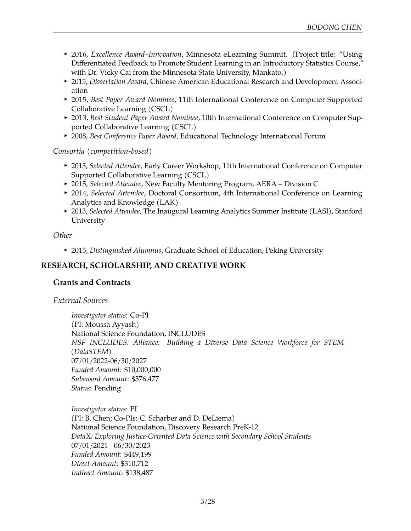- <sup>I</sup> 2016, *Excellence Award–Innovation*, Minnesota eLearning Summit. (Project title: "Using Differentiated Feedback to Promote Student Learning in an Introductory Statistics Course," with Dr. Vicky Cai from the Minnesota State University, Mankato.)
- **2015, Dissertation Award, Chinese American Educational Research and Development Associ**ation
- ▶ 2015, *Best Paper Award Nominee*, 11th International Conference on Computer Supported Collaborative Learning (CSCL)
- **> 2013, Best Student Paper Award Nominee, 10th International Conference on Computer Sup**ported Collaborative Learning (CSCL)
- ▶ 2008, *Best Conference Paper Award*, Educational Technology International Forum

*Consortia (competition-based)*

- ▶ 2015, *Selected Attendee*, Early Career Workshop, 11th International Conference on Computer Supported Collaborative Learning (CSCL)
- ▶ 2015, *Selected Attendee*, New Faculty Mentoring Program, AERA Division C
- ▶ 2014, *Selected Attendee*, Doctoral Consortium, 4th International Conference on Learning Analytics and Knowledge (LAK)
- ▶ 2013, *Selected Attendee*, The Inaugural Learning Analytics Summer Institute (LASI), Stanford University

*Other*

<sup>I</sup> 2015, *Distinguished Alumnus*, Graduate School of Education, Peking University

# **RESEARCH, SCHOLARSHIP, AND CREATIVE WORK**

## **Grants and Contracts**

*External Sources*

*Investigator status*: Co-PI (PI: Moussa Ayyash) National Science Foundation, INCLUDES *NSF INCLUDES: Alliance: Building a Diverse Data Science Workforce for STEM (DataSTEM)* 07/01/2022-06/30/2027 *Funded Amount*: \$10,000,000 *Subaward Amount*: \$576,477 *Status*: Pending

*Investigator status*: PI (PI: B. Chen; Co-PIs: C. Scharber and D. DeLiema) National Science Foundation, Discovery Research PreK-12 *DataX: Exploring Justice-Oriented Data Science with Secondary School Students* 07/01/2021 - 06/30/2023 *Funded Amount*: \$449,199 *Direct Amount*: \$310,712 *Indirect Amount*: \$138,487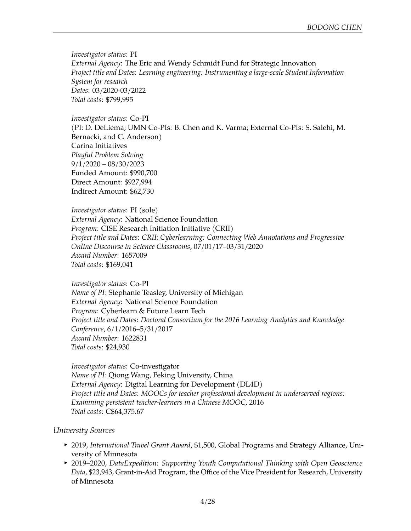*Investigator status*: PI *External Agency*: The Eric and Wendy Schmidt Fund for Strategic Innovation *Project title and Dates*: *Learning engineering: Instrumenting a large-scale Student Information System for research Dates*: 03/2020-03/2022 *Total costs*: \$799,995

*Investigator status*: Co-PI

(PI: D. DeLiema; UMN Co-PIs: B. Chen and K. Varma; External Co-PIs: S. Salehi, M. Bernacki, and C. Anderson) Carina Initiatives *Playful Problem Solving* 9/1/2020 – 08/30/2023 Funded Amount: \$990,700 Direct Amount: \$927,994 Indirect Amount: \$62,730

*Investigator status*: PI (sole) *External Agency*: National Science Foundation *Program*: CISE Research Initiation Initiative (CRII) *Project title and Dates*: *CRII: Cyberlearning: Connecting Web Annotations and Progressive Online Discourse in Science Classrooms*, 07/01/17–03/31/2020 *Award Number*: [1657009](https://www.nsf.gov/awardsearch/showAward?AWD_ID=1657009) *Total costs*: \$169,041

*Investigator status*: Co-PI *Name of PI*: Stephanie Teasley, University of Michigan *External Agency*: National Science Foundation *Program*: Cyberlearn & Future Learn Tech *Project title and Dates*: *Doctoral Consortium for the 2016 Learning Analytics and Knowledge Conference*, 6/1/2016–5/31/2017 *Award Number*: [1622831](https://www.nsf.gov/awardsearch/showAward?AWD_ID=1622831) *Total costs*: \$24,930

*Investigator status*: Co-investigator *Name of PI*: Qiong Wang, Peking University, China *External Agency*: Digital Learning for Development (DL4D) *Project title and Dates*: *MOOCs for teacher professional development in underserved regions: Examining persistent teacher-learners in a Chinese MOOC*, 2016 *Total costs*: C\$64,375.67

#### *University Sources*

- <sup>I</sup> 2019, *International Travel Grant Award*, \$1,500, Global Programs and Strategy Alliance, University of Minnesota
- ▶ 2019–2020, *DataExpedition: Supporting Youth Computational Thinking with Open Geoscience Data*, \$23,943, Grant-in-Aid Program, the Office of the Vice President for Research, University of Minnesota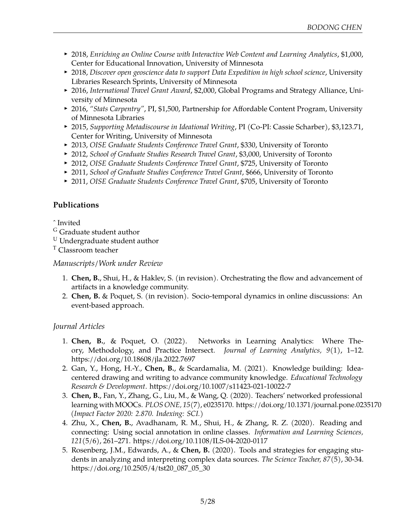- ► 2018, *Enriching an Online Course with Interactive Web Content and Learning Analytics*, \$1,000, Center for Educational Innovation, University of Minnesota
- ▶ 2018, *Discover open geoscience data to support Data Expedition in high school science*, University Libraries Research Sprints, University of Minnesota
- ▶ 2016, *International Travel Grant Award*, \$2,000, Global Programs and Strategy Alliance, University of Minnesota
- ▶ 2016, "Stats Carpentry", PI, \$1,500, Partnership for Affordable Content Program, University of Minnesota Libraries
- <sup>I</sup> 2015, *Supporting Metadiscourse in Ideational Writing*, PI (Co-PI: Cassie Scharber), \$3,123.71, Center for Writing, University of Minnesota
- <sup>I</sup> 2013, *OISE Graduate Students Conference Travel Grant*, \$330, University of Toronto
- ▶ 2012, *School of Graduate Studies Research Travel Grant*, \$3,000, University of Toronto
- ▶ 2012, *OISE Graduate Students Conference Travel Grant*, \$725, University of Toronto
- ▶ 2011, *School of Graduate Studies Conference Travel Grant*, \$666, University of Toronto
- ▶ 2011, *OISE Graduate Students Conference Travel Grant*, \$705, University of Toronto

## **Publications**

#### ˆ Invited

- <sup>G</sup> Graduate student author
- <sup>U</sup> Undergraduate student author
- <sup>T</sup> Classroom teacher

## *Manuscripts/Work under Review*

- 1. **Chen, B.**, Shui, H., & Haklev, S. (in revision). Orchestrating the flow and advancement of artifacts in a knowledge community.
- 2. **Chen, B.** & Poquet, S. (in revision). Socio-temporal dynamics in online discussions: An event-based approach.

## *Journal Articles*

- 1. **Chen, B.**, & Poquet, O. (2022). Networks in Learning Analytics: Where Theory, Methodology, and Practice Intersect. *Journal of Learning Analytics, 9*(1), 1–12. https://doi.org/10.18608/jla.2022.7697
- 2. Gan, Y., Hong, H.-Y., **Chen, B.**, & Scardamalia, M. (2021). Knowledge building: Ideacentered drawing and writing to advance community knowledge. *Educational Technology Research & Development*. https://doi.org/10.1007/s11423-021-10022-7
- 3. **Chen, B.**, Fan, Y., Zhang, G., Liu, M., & Wang, Q. (2020). Teachers' networked professional learning with MOOCs. *PLOS ONE, 15*(7), e0235170. https://doi.org/10.1371/journal.pone.0235170 *(Impact Factor 2020: 2.870. Indexing: SCI.)*
- 4. Zhu, X., **Chen, B.**, Avadhanam, R. M., Shui, H., & Zhang, R. Z. (2020). Reading and connecting: Using social annotation in online classes. *Information and Learning Sciences, 121*(5/6), 261–271. https://doi.org/10.1108/ILS-04-2020-0117
- 5. Rosenberg, J.M., Edwards, A., & **Chen, B.** (2020). Tools and strategies for engaging students in analyzing and interpreting complex data sources. *The Science Teacher, 87*(5), 30-34. https://doi.org/10.2505/4/tst20\_087\_05\_30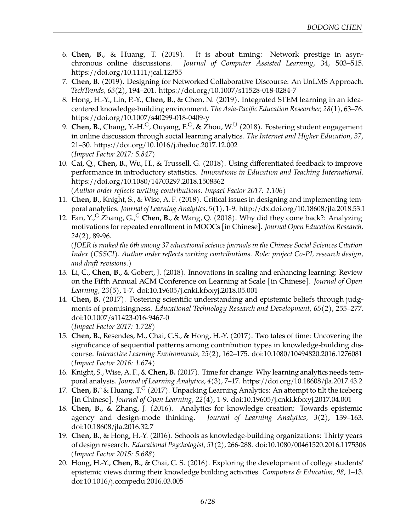- 6. **Chen, B.**, & Huang, T. (2019). It is about timing: Network prestige in asynchronous online discussions. *Journal of Computer Assisted Learning*, 34, 503–515. https://doi.org/10.1111/jcal.12355
- 7. **Chen, B.** (2019). Designing for Networked Collaborative Discourse: An UnLMS Approach. *TechTrends, 63*(2), 194–201. https://doi.org/10.1007/s11528-018-0284-7
- 8. Hong, H.-Y., Lin, P.-Y., **Chen, B.**, & Chen, N. (2019). Integrated STEM learning in an ideacentered knowledge-building environment. *The Asia-Pacific Education Researcher, 28*(1), 63–76. https://doi.org/10.1007/s40299-018-0409-y
- 9. **Chen, B.**, Chang, Y.-H.<sup>G</sup>, Ouyang, F.<sup>G</sup>, & Zhou, W.<sup>U</sup> (2018). Fostering student engagement in online discussion through social learning analytics. *The Internet and Higher Education, 37*, 21–30. https://doi.org/10.1016/j.iheduc.2017.12.002 *(Impact Factor 2017: 5.847)*
- 10. Cai, Q., **Chen, B.**, Wu, H., & Trussell, G. (2018). Using differentiated feedback to improve performance in introductory statistics. *Innovations in Education and Teaching International*. https://doi.org/10.1080/14703297.2018.1508362 *(Author order reflects writing contributions. Impact Factor 2017: 1.106)*
- 11. **Chen, B.**, Knight, S., & Wise, A. F. (2018). Critical issues in designing and implementing temporal analytics. *Journal of Learning Analytics, 5*(1), 1-9. http://dx.doi.org/10.18608/jla.2018.53.1
- 12. Fan, Y.,<sup>G</sup> Zhang, G.,<sup>G</sup> Chen, B., & Wang, Q. (2018). [Why did they come back?: Analyzing](http://openedu.shtvu.org.cn/frontsite/series_details.asp?id=2015) [motivations for repeated enrollment in MOOCs](http://openedu.shtvu.org.cn/frontsite/series_details.asp?id=2015) [in Chinese]. *Journal Open Education Research, 24*(2), 89-96.

*(JOER is ranked the 6th among 37 educational science journals in the Chinese Social Sciences Citation Index (CSSCI). Author order reflects writing contributions. Role: project Co-PI, research design, and draft revisions.)*

- 13. Li, C., **Chen, B.**, & Gobert, J. (2018). Innovations in scaling and enhancing learning: Review on the Fifth Annual ACM Conference on Learning at Scale [in Chinese]. *Journal of Open Learning, 23*(5), 1-7. doi:10.19605/j.cnki.kfxxyj.2018.05.001
- 14. **Chen, B.** (2017). Fostering scientific understanding and epistemic beliefs through judgments of promisingness. *Educational Technology Research and Development, 65*(2), 255–277. doi:10.1007/s11423-016-9467-0 *(Impact Factor 2017: 1.728)*
- 15. **Chen, B.**, Resendes, M., Chai, C.S., & Hong, H.-Y. (2017). Two tales of time: Uncovering the significance of sequential patterns among contribution types in knowledge-building discourse. *Interactive Learning Environments, 25*(2), 162–175. doi:10.1080/10494820.2016.1276081 *(Impact Factor 2016: 1.674)*
- 16. Knight, S., Wise, A. F., & **Chen, B.** (2017). Time for change: Why learning analytics needs temporal analysis. *Journal of Learning Analytics, 4*(3), 7–17. https://doi.org/10.18608/jla.2017.43.2
- 17. **Chen, B.** & Huang, T.<sup>G</sup> (2017). [Unpacking Learning Analytics: An attempt to tilt the iceberg](https://www.researchgate.net/publication/317586037_Unpacking_Learning_Analytics_An_Attempt_to_Tilt_the_Iceberg) [\[in Chinese\].](https://www.researchgate.net/publication/317586037_Unpacking_Learning_Analytics_An_Attempt_to_Tilt_the_Iceberg) *Journal of Open Learning, 22*(4), 1-9. doi:10.19605/j.cnki.kfxxyj.2017.04.001
- 18. **Chen, B.**, & Zhang, J. (2016). Analytics for knowledge creation: Towards epistemic agency and design-mode thinking. *Journal of Learning Analytics, 3*(2), 139–163. doi:10.18608/jla.2016.32.7
- 19. **Chen, B.**, & Hong, H.-Y. (2016). Schools as knowledge-building organizations: Thirty years of design research. *Educational Psychologist, 51*(2), 266-288. doi:10.1080/00461520.2016.1175306 *(Impact Factor 2015: 5.688)*
- 20. Hong, H.-Y., **Chen, B.**, & Chai, C. S. (2016). Exploring the development of college students' epistemic views during their knowledge building activities. *Computers & Education, 98*, 1–13. doi:10.1016/j.compedu.2016.03.005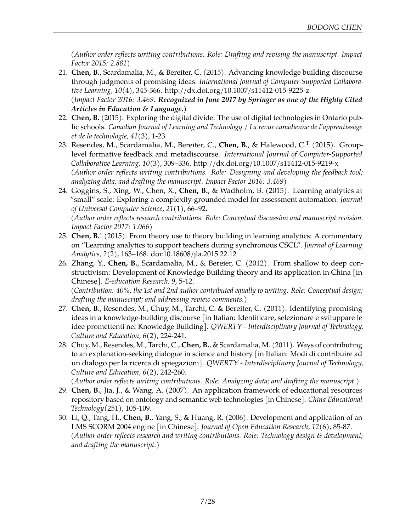*(Author order reflects writing contributions. Role: Drafting and revising the manuscript. Impact Factor 2015: 2.881)*

- 21. **Chen, B.**, Scardamalia, M., & Bereiter, C. (2015). [Advancing knowledge building discourse](https://www.researchgate.net/publication/283731875_Advancing_knowledge_building_discourse_through_judgments_of_promising_ideas) [through judgments of promising ideas.](https://www.researchgate.net/publication/283731875_Advancing_knowledge_building_discourse_through_judgments_of_promising_ideas) *International Journal of Computer-Supported Collaborative Learning, 10*(4), 345-366. http://dx.doi.org/10.1007/s11412-015-9225-z *(Impact Factor 2016: 3.469. Recognized in June 2017 by Springer as one of the Highly Cited Articles in Education & Language.)*
- 22. **Chen, B.** (2015). [Exploring the digital divide: The use of digital technologies in Ontario pub](http://www.cjlt.ca/index.php/cjlt/article/view/926)[lic schools.](http://www.cjlt.ca/index.php/cjlt/article/view/926) *Canadian Journal of Learning and Technology / La revue canadienne de l'apprentissage et de la technologie, 41*(3), 1-23.
- 23. Resendes, M., Scardamalia, M., Bereiter, C., **Chen, B.**, & Halewood, C.<sup>T</sup> (2015). Grouplevel formative feedback and metadiscourse. *International Journal of Computer-Supported Collaborative Learning, 10*(3), 309–336. http://dx.doi.org/10.1007/s11412-015-9219-x *(Author order reflects writing contributions. Role: Designing and developing the feedback tool; analyzing data; and drafting the manuscript. Impact Factor 2016: 3.469)*
- 24. Goggins, S., Xing, W., Chen, X., **Chen, B.**, & Wadholm, B. (2015). [Learning analytics at](http://www.jucs.org/jucs_21_1/learning_analytics_at_small) ["small" scale: Exploring a complexity-grounded model for assessment automation.](http://www.jucs.org/jucs_21_1/learning_analytics_at_small) *Journal of Universal Computer Science, 21*(1), 66–92.

*(Author order reflects research contributions. Role: Conceptual discussion and manuscript revision. Impact Factor 2017: 1.066)*

- 25. **Chen, B.**ˆ (2015). [From theory use to theory building in learning analytics: A commentary](http://epress.lib.uts.edu.au/journals/index.php/JLA/article/view/4599/5090) [on "Learning analytics to support teachers during synchronous CSCL".](http://epress.lib.uts.edu.au/journals/index.php/JLA/article/view/4599/5090) *Journal of Learning Analytics, 2*(2), 163–168. doi:10.18608/jla.2015.22.12
- 26. Zhang, Y., **Chen, B.**, Scardamalia, M., & Bereier, C. (2012). From shallow to deep constructivism: Development of Knowledge Building theory and its application in China [in Chinese]. *E-education Research, 9*, 5-12.

*(Contribution: 40%; the 1st and 2nd author contributed equally to writing. Role: Conceptual design; drafting the manuscript; and addressing review comments.)*

- 27. **Chen, B.**, Resendes, M., Chuy, M., Tarchi, C. & Bereiter, C. (2011). [Identifying promising](http://www.ckbg.org/qwerty/index.php/qwerty/article/view/112) [ideas in a knowledge-building discourse](http://www.ckbg.org/qwerty/index.php/qwerty/article/view/112) [in Italian: Identificare, selezionare e sviluppare le idee promettenti nel Knowledge Building]. *QWERTY - Interdisciplinary Journal of Technology, Culture and Education, 6*(2), 224-241.
- 28. Chuy, M., Resendes, M., Tarchi, C., **Chen, B.**, & Scardamalia, M. (2011). Ways of contributing to an explanation-seeking dialogue in science and history [in Italian: Modi di contribuire ad un dialogo per la ricerca di spiegazioni]. *QWERTY - Interdisciplinary Journal of Technology, Culture and Education, 6*(2), 242-260.

*(Author order reflects writing contributions. Role: Analyzing data; and drafting the manuscript.)*

- 29. **Chen, B.**, Jia, J., & Wang, A. (2007). An application framework of educational resources repository based on ontology and semantic web technologies [in Chinese]. *China Educational Technology*(251), 105-109.
- 30. Li, Q., Tang, H., **Chen, B.**, Yang, S., & Huang, R. (2006). Development and application of an LMS SCORM 2004 engine [in Chinese]. *Journal of Open Education Research, 12*(6), 85-87. *(Author order reflects research and writing contributions. Role: Technology design & development; and drafting the manuscript.)*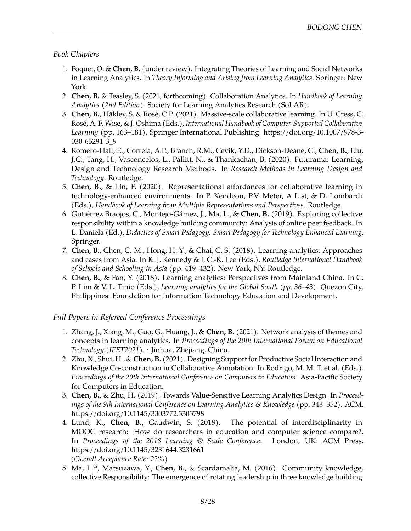#### *Book Chapters*

- 1. Poquet, O. & **Chen, B.** (under review). Integrating Theories of Learning and Social Networks in Learning Analytics. In *Theory Informing and Arising from Learning Analytics*. Springer: New York.
- 2. **Chen, B.** & Teasley, S. (2021, forthcoming). Collaboration Analytics. In *Handbook of Learning Analytics (2nd Edition)*. Society for Learning Analytics Research (SoLAR).
- 3. **Chen, B.**, Håklev, S. & Rosé, C.P. (2021). Massive-scale collaborative learning. In U. Cress, C. Rosé, A. F. Wise, & J. Oshima (Eds.), *International Handbook of Computer-Supported Collaborative Learning* (pp. 163–181). Springer International Publishing. https://doi.org/10.1007/978-3- 030-65291-3\_9
- 4. Romero-Hall, E., Correia, A.P., Branch, R.M., Cevik, Y.D., Dickson-Deane, C., **Chen, B.**, Liu, J.C., Tang, H., Vasconcelos, L., Pallitt, N., & Thankachan, B. (2020). Futurama: Learning, Design and Technology Research Methods. In *Research Methods in Learning Design and Technology*. Routledge.
- 5. **Chen, B.**, & Lin, F. (2020). Representational affordances for collaborative learning in technology-enhanced environments. In P. Kendeou, P.V. Meter, A List, & D. Lombardi (Eds.), *Handbook of Learning from Multiple Representations and Perspectives*. Routledge.
- 6. Gutiérrez Braojos, C., Montejo-Gámez, J., Ma, L., & **Chen, B.** (2019). Exploring collective responsibility within a knowledge building community: Analysis of online peer feedback. In L. Daniela (Ed.), *Didactics of Smart Pedagogy: Smart Pedagogy for Technology Enhanced Learning*. Springer.
- 7. **Chen, B.**, Chen, C.-M., Hong, H.-Y., & Chai, C. S. (2018). Learning analytics: Approaches and cases from Asia. In K. J. Kennedy & J. C.-K. Lee (Eds.), *[Routledge International Handbook](https://www.routledge.com/Routledge-International-Handbook-of-Schools-and-Schooling-in-Asia/Kennedy-Lee/p/book/9781138908499) [of Schools and Schooling in Asia](https://www.routledge.com/Routledge-International-Handbook-of-Schools-and-Schooling-in-Asia/Kennedy-Lee/p/book/9781138908499)* (pp. 419–432). New York, NY: Routledge.
- 8. **Chen, B.**, & Fan, Y. (2018). Learning analytics: Perspectives from Mainland China. In C. P. Lim & V. L. Tinio (Eds.), *Learning analytics for the Global South (pp. 36–43)*. Quezon City, Philippines: Foundation for Information Technology Education and Development.

## *Full Papers in Refereed Conference Proceedings*

- 1. Zhang, J., Xiang, M., Guo, G., Huang, J., & **Chen, B.** (2021). Network analysis of themes and concepts in learning analytics. In *Proceedings of the 20th International Forum on Educational Technology (IFET2021)*. : Jinhua, Zhejiang, China.
- 2. Zhu, X., Shui, H., & **Chen, B.** (2021). Designing Support for Productive Social Interaction and Knowledge Co-construction in Collaborative Annotation. In Rodrigo, M. M. T. et al. (Eds.). *Proceedings of the 29th International Conference on Computers in Education*. Asia-Pacific Society for Computers in Education.
- 3. **Chen, B.**, & Zhu, H. (2019). Towards Value-Sensitive Learning Analytics Design. In *Proceedings of the 9th International Conference on Learning Analytics & Knowledge* (pp. 343–352). ACM. https://doi.org/10.1145/3303772.3303798
- 4. Lund, K., **Chen, B.**, Gaudwin, S. (2018). [The potential of interdisciplinarity in](https://www.researchgate.net/publication/325053254_The_Potential_of_Interdisciplinarity_in_MOOC_Research_How_Do_Education_and_Computer_Science_Intersect) [MOOC research: How do researchers in education and computer science compare?.](https://www.researchgate.net/publication/325053254_The_Potential_of_Interdisciplinarity_in_MOOC_Research_How_Do_Education_and_Computer_Science_Intersect) In *Proceedings of the 2018 Learning @ Scale Conference*. London, UK: ACM Press. https://doi.org/10.1145/3231644.3231661 *(Overall Acceptance Rate: 22%)*
- 5. Ma, L.G, Matsuzawa, Y., **Chen, B.**, & Scardamalia, M. (2016). Community knowledge, collective Responsibility: The emergence of rotating leadership in three knowledge building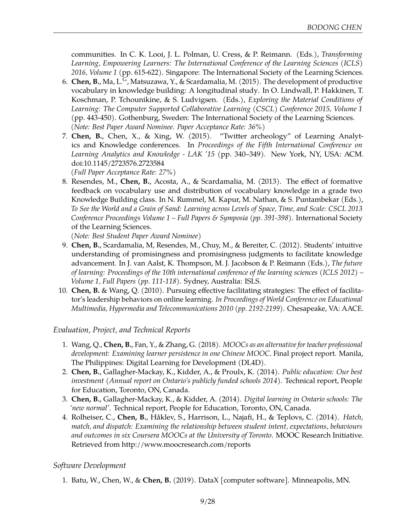communities. In C. K. Looi, J. L. Polman, U. Cress, & P. Reimann. (Eds.), *Transforming Learning, Empowering Learners: The International Conference of the Learning Sciences (ICLS) 2016, Volume 1* (pp. 615-622). Singapore: The International Society of the Learning Sciences.

- 6. **Chen, B.**, Ma, L.G, Matsuzawa, Y., & Scardamalia, M. (2015). [The development of productive](http://meefen.github.io/public/files/Chen_CSCL15_Vocabulary_Longitudinal.pdf) [vocabulary in knowledge building: A longitudinal study.](http://meefen.github.io/public/files/Chen_CSCL15_Vocabulary_Longitudinal.pdf) In O. Lindwall, P. Hakkinen, T. Koschman, P. Tchounikine, & S. Ludvigsen. (Eds.), *Exploring the Material Conditions of Learning: The Computer Supported Collaborative Learning (CSCL) Conference 2015, Volume 1* (pp. 443-450). Gothenburg, Sweden: The International Society of the Learning Sciences. *(Note: Best Paper Award Nominee. Paper Acceptance Rate: 36%)*
- 7. **Chen, B.**, Chen, X., & Xing, W. (2015). ["Twitter archeology" of Learning Analyt](http://hdl.handle.net/11299/170829)[ics and Knowledge conferences.](http://hdl.handle.net/11299/170829) In *Proceedings of the Fifth International Conference on Learning Analytics and Knowledge - LAK '15* (pp. 340–349). New York, NY, USA: ACM. doi:10.1145/2723576.2723584

*(Full Paper Acceptance Rate: 27%)*

8. Resendes, M., **Chen, B.**, Acosta, A., & Scardamalia, M. (2013). [The effect of formative](http://meefen.github.io/public/files/Resendes_et_al_CSCL2013.pdf) [feedback on vocabulary use and distribution of vocabulary knowledge in a grade two](http://meefen.github.io/public/files/Resendes_et_al_CSCL2013.pdf) [Knowledge Building class.](http://meefen.github.io/public/files/Resendes_et_al_CSCL2013.pdf) In N. Rummel, M. Kapur, M. Nathan, & S. Puntambekar (Eds.), *To See the World and a Grain of Sand: Learning across Levels of Space, Time, and Scale: CSCL 2013 Conference Proceedings Volume 1 – Full Papers & Symposia (pp. 391-398)*. International Society of the Learning Sciences.

*(Note: Best Student Paper Award Nominee)*

- 9. **Chen, B.**, Scardamalia, M, Resendes, M., Chuy, M., & Bereiter, C. (2012). [Students' intuitive](http://meefen.github.io/public/files/Chen_et_al_ICLS2012_Promisingness_final.pdf) [understanding of promisingness and promisingness judgments to facilitate knowledge](http://meefen.github.io/public/files/Chen_et_al_ICLS2012_Promisingness_final.pdf) [advancement.](http://meefen.github.io/public/files/Chen_et_al_ICLS2012_Promisingness_final.pdf) In J. van Aalst, K. Thompson, M. J. Jacobson & P. Reimann (Eds.), *The future of learning: Proceedings of the 10th international conference of the learning sciences (ICLS 2012) – Volume 1, Full Papers (pp. 111-118)*. Sydney, Australia: ISLS.
- 10. **Chen, B.** & Wang, Q. (2010). [Pursuing effective facilitating strategies: The effect of facilita](http://meefen.github.io/public/files/Chen_Wang_ED-MEDIA2010_Leadership_Behavior_Onling_Facilitator.pdf)[tor's leadership behaviors on online learning.](http://meefen.github.io/public/files/Chen_Wang_ED-MEDIA2010_Leadership_Behavior_Onling_Facilitator.pdf) *In Proceedings of World Conference on Educational Multimedia, Hypermedia and Telecommunications 2010 (pp. 2192-2199)*. Chesapeake, VA: AACE.

#### *Evaluation, Project, and Technical Reports*

- 1. Wang, Q., **Chen, B.**, Fan, Y., & Zhang, G. (2018). *MOOCs as an alternative for teacher professional development: Examining learner persistence in one Chinese MOOC*. Final project report. Manila, The Philippines: Digital Learning for Development (DL4D).
- 2. **Chen, B.**, Gallagher-Mackay, K., Kidder, A., & Proulx, K. (2014). *[Public education: Our best](http://www.peopleforeducation.ca/wp-content/uploads/2014/06/annual-report-2014-WEB.pdf) [investment \(Annual report on Ontario's publicly funded schools 2014\)](http://www.peopleforeducation.ca/wp-content/uploads/2014/06/annual-report-2014-WEB.pdf)*. Technical report, People for Education, Toronto, ON, Canada.
- 3. **Chen, B.**, Gallagher-Mackay, K., & Kidder, A. (2014). *[Digital learning in Ontario schools: The](http://meefen.github.io/public/files/chen-2014-digital-learning-ontario.pdf) ['new normal'](http://meefen.github.io/public/files/chen-2014-digital-learning-ontario.pdf)*. Technical report, People for Education, Toronto, ON, Canada.
- 4. Rolheiser, C., **Chen, B.**, Håklev, S., Harrison, L., Najafi, H., & Teplovs, C. (2014). *Hatch, match, and dispatch: Examining the relationship between student intent, expectations, behaviours and outcomes in six Coursera MOOCs at the University of Toronto*. MOOC Research Initiative. Retrieved from [http://www.moocresearch.com/reports](http://www.moocresearch.com/reports/)

## *Software Development*

1. Batu, W., Chen, W., & **Chen, B.** (2019). DataX [computer software]. Minneapolis, MN.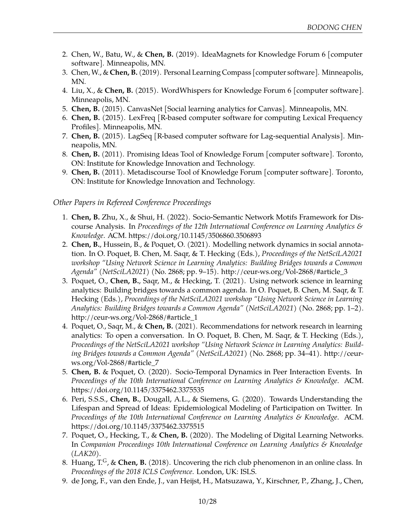- 2. Chen, W., Batu, W., & **Chen, B.** (2019). IdeaMagnets for Knowledge Forum 6 [computer software]. Minneapolis, MN.
- 3. Chen, W., & **Chen, B.** (2019). Personal Learning Compass [computer software]. Minneapolis, MN.
- 4. Liu, X., & **Chen, B.** (2015). WordWhispers for Knowledge Forum 6 [computer software]. Minneapolis, MN.
- 5. **Chen, B.** (2015). CanvasNet [Social learning analytics for Canvas]. Minneapolis, MN.
- 6. **Chen, B.** (2015). LexFreq [R-based computer software for computing Lexical Frequency Profiles]. Minneapolis, MN.
- 7. **Chen, B.** (2015). LagSeq [R-based computer software for Lag-sequential Analysis]. Minneapolis, MN.
- 8. **Chen, B.** (2011). Promising Ideas Tool of Knowledge Forum [computer software]. Toronto, ON: Institute for Knowledge Innovation and Technology.
- 9. **Chen, B.** (2011). Metadiscourse Tool of Knowledge Forum [computer software]. Toronto, ON: Institute for Knowledge Innovation and Technology.

#### *Other Papers in Refereed Conference Proceedings*

- 1. **Chen, B.** Zhu, X., & Shui, H. (2022). Socio-Semantic Network Motifs Framework for Discourse Analysis. In *Proceedings of the 12th International Conference on Learning Analytics & Knowledge*. ACM. https://doi.org/10.1145/3506860.3506893
- 2. **Chen, B.**, Hussein, B., & Poquet, O. (2021). Modelling network dynamics in social annotation. In O. Poquet, B. Chen, M. Saqr, & T. Hecking (Eds.), *Proceedings of the NetSciLA2021 workshop "Using Network Science in Learning Analytics: Building Bridges towards a Common Agenda" (NetSciLA2021)* (No. 2868; pp. 9–15). http://ceur-ws.org/Vol-2868/#article\_3
- 3. Poquet, O., **Chen, B.**, Saqr, M., & Hecking, T. (2021). Using network science in learning analytics: Building bridges towards a common agenda. In O. Poquet, B. Chen, M. Saqr, & T. Hecking (Eds.), *Proceedings of the NetSciLA2021 workshop "Using Network Science in Learning Analytics: Building Bridges towards a Common Agenda" (NetSciLA2021)* (No. 2868; pp. 1–2). http://ceur-ws.org/Vol-2868/#article\_1
- 4. Poquet, O., Saqr, M., & **Chen, B.** (2021). Recommendations for network research in learning analytics: To open a conversation. In O. Poquet, B. Chen, M. Saqr, & T. Hecking (Eds.), *Proceedings of the NetSciLA2021 workshop "Using Network Science in Learning Analytics: Building Bridges towards a Common Agenda" (NetSciLA2021)* (No. 2868; pp. 34–41). http://ceurws.org/Vol-2868/#article\_7
- 5. **Chen, B.** & Poquet, O. (2020). Socio-Temporal Dynamics in Peer Interaction Events. In *Proceedings of the 10th International Conference on Learning Analytics & Knowledge*. ACM. https://doi.org/10.1145/3375462.3375535
- 6. Peri, S.S.S., **Chen, B.**, Dougall, A.L., & Siemens, G. (2020). Towards Understanding the Lifespan and Spread of Ideas: Epidemiological Modeling of Participation on Twitter. In *Proceedings of the 10th International Conference on Learning Analytics & Knowledge*. ACM. https://doi.org/10.1145/3375462.3375515
- 7. Poquet, O., Hecking, T., & **Chen, B.** (2020). The Modeling of Digital Learning Networks. In *Companion Proceedings 10th International Conference on Learning Analytics & Knowledge (LAK20)*.
- 8. Huang,  $T^G$ , & **Chen, B.** (2018). Uncovering the rich club phenomenon in an online class. In *Proceedings of the 2018 ICLS Conference*. London, UK: ISLS.
- 9. de Jong, F., van den Ende, J., van Heijst, H., Matsuzawa, Y., Kirschner, P., Zhang, J., Chen,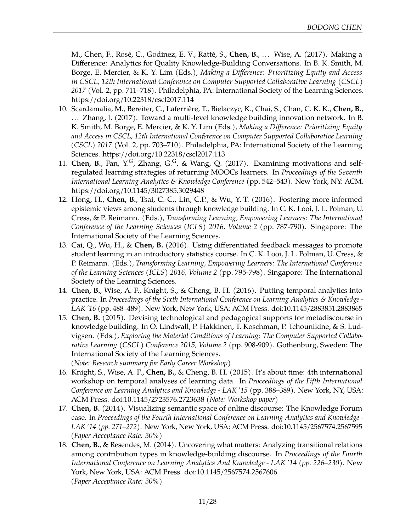M., Chen, F., Rosé, C., Godinez, E. V., Ratté, S., **Chen, B.**, ... Wise, A. (2017). Making a Difference: Analytics for Quality Knowledge-Building Conversations. In B. K. Smith, M. Borge, E. Mercier, & K. Y. Lim (Eds.), *Making a Difference: Prioritizing Equity and Access in CSCL, 12th International Conference on Computer Supported Collaborative Learning (CSCL) 2017* (Vol. 2, pp. 711–718). Philadelphia, PA: International Society of the Learning Sciences. https://doi.org/10.22318/cscl2017.114

- 10. Scardamalia, M., Bereiter, C., Laferrière, T., Bielaczyc, K., Chai, S., Chan, C. K. K., **Chen, B.**, ... Zhang, J. (2017). Toward a multi-level knowledge building innovation network. In B. K. Smith, M. Borge, E. Mercier, & K. Y. Lim (Eds.), *Making a Difference: Prioritizing Equity and Access in CSCL, 12th International Conference on Computer Supported Collaborative Learning (CSCL) 2017* (Vol. 2, pp. 703–710). Philadelphia, PA: International Society of the Learning Sciences. https://doi.org/10.22318/cscl2017.113
- 11. **Chen, B.**, Fan, Y.G, Zhang, G.G, & Wang, Q. (2017). Examining motivations and selfregulated learning strategies of returning MOOCs learners. In *Proceedings of the Seventh International Learning Analytics & Knowledge Conference* (pp. 542–543). New York, NY: ACM. https://doi.org/10.1145/3027385.3029448
- 12. Hong, H., **Chen, B.**, Tsai, C.-C., Lin, C.P., & Wu, Y.-T. (2016). Fostering more informed epistemic views among students through knowledge building. In C. K. Looi, J. L. Polman, U. Cress, & P. Reimann. (Eds.), *Transforming Learning, Empowering Learners: The International Conference of the Learning Sciences (ICLS) 2016, Volume 2* (pp. 787-790). Singapore: The International Society of the Learning Sciences.
- 13. Cai, Q., Wu, H., & **Chen, B.** (2016). Using differentiated feedback messages to promote student learning in an introductory statistics course. In C. K. Looi, J. L. Polman, U. Cress, & P. Reimann. (Eds.), *Transforming Learning, Empowering Learners: The International Conference of the Learning Sciences (ICLS) 2016, Volume 2* (pp. 795-798). Singapore: The International Society of the Learning Sciences.
- 14. **Chen, B.**, Wise, A. F., Knight, S., & Cheng, B. H. (2016). Putting temporal analytics into practice. In *Proceedings of the Sixth International Conference on Learning Analytics & Knowledge - LAK '16* (pp. 488–489). New York, New York, USA: ACM Press. doi:10.1145/2883851.2883865
- 15. **Chen, B.** (2015). Devising technological and pedagogical supports for metadiscourse in knowledge building. In O. Lindwall, P. Hakkinen, T. Koschman, P. Tchounikine, & S. Ludvigsen. (Eds.), *Exploring the Material Conditions of Learning: The Computer Supported Collaborative Learning (CSCL) Conference 2015, Volume 2* (pp. 908-909). Gothenburg, Sweden: The International Society of the Learning Sciences. *(Note: Research summary for Early Career Workshop)*
- 16. Knight, S., Wise, A. F., **Chen, B.**, & Cheng, B. H. (2015). [It's about time: 4th international](https://www.researchgate.net/profile/Bodong_Chen/publication/273831185_It%27s_About_Time_4th_International_Workshop_on_Temporal_Analyses_of_Learning_Data/links/550e1dbb0cf2ac2905aac538.pdf) [workshop on temporal analyses of learning data.](https://www.researchgate.net/profile/Bodong_Chen/publication/273831185_It%27s_About_Time_4th_International_Workshop_on_Temporal_Analyses_of_Learning_Data/links/550e1dbb0cf2ac2905aac538.pdf) In *Proceedings of the Fifth International Conference on Learning Analytics and Knowledge - LAK '15* (pp. 388–389). New York, NY, USA: ACM Press. doi:10.1145/2723576.2723638 *(Note: Workshop paper)*
- 17. **Chen, B.** (2014). [Visualizing semantic space of online discourse: The Knowledge Forum](http://meefen.github.io/public/files/chen_lak14_semantic.pdf) [case.](http://meefen.github.io/public/files/chen_lak14_semantic.pdf) In *Proceedings of the Fourth International Conference on Learning Analytics and Knowledge - LAK '14 (pp. 271–272)*. New York, New York, USA: ACM Press. doi:10.1145/2567574.2567595 *(Paper Acceptance Rate: 30%)*
- 18. **Chen, B.**, & Resendes, M. (2014). [Uncovering what matters: Analyzing transitional relations](http://meefen.github.io/public/files/chen_resendes_lak14_temporal.pdf) [among contribution types in knowledge-building discourse.](http://meefen.github.io/public/files/chen_resendes_lak14_temporal.pdf) In *Proceedings of the Fourth International Conference on Learning Analytics And Knowledge - LAK '14 (pp. 226–230)*. New York, New York, USA: ACM Press. doi:10.1145/2567574.2567606 *(Paper Acceptance Rate: 30%)*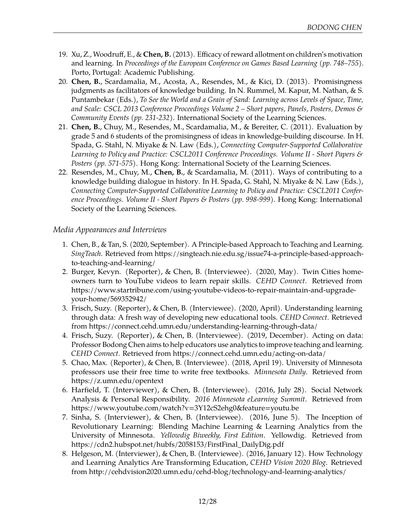- 19. Xu, Z., Woodruff, E., & **Chen, B.** (2013). [Efficacy of reward allotment on children's motivation](http://connection.ebscohost.com/c/articles/91951042/efficacy-reward-allotment-childrens-motivation-learning) [and learning.](http://connection.ebscohost.com/c/articles/91951042/efficacy-reward-allotment-childrens-motivation-learning) In *Proceedings of the European Conference on Games Based Learning (pp. 748–755)*. Porto, Portugal: Academic Publishing.
- 20. **Chen, B.**, Scardamalia, M., Acosta, A., Resendes, M., & Kici, D. (2013). [Promisingness](http://meefen.github.io/public/files/Chen_et_al_CSCL2013.pdf) [judgments as facilitators of knowledge building.](http://meefen.github.io/public/files/Chen_et_al_CSCL2013.pdf) In N. Rummel, M. Kapur, M. Nathan, & S. Puntambekar (Eds.), *To See the World and a Grain of Sand: Learning across Levels of Space, Time, and Scale: CSCL 2013 Conference Proceedings Volume 2 – Short papers, Panels, Posters, Demos & Community Events (pp. 231-232)*. International Society of the Learning Sciences.
- 21. **Chen, B.**, Chuy, M., Resendes, M., Scardamalia, M., & Bereiter, C. (2011). [Evaluation by](http://meefen.github.io/public/files/Chen_et_al_CSCL2011_Promising_final.pdf) [grade 5 and 6 students of the promisingness of ideas in knowledge-building discourse.](http://meefen.github.io/public/files/Chen_et_al_CSCL2011_Promising_final.pdf) In H. Spada, G. Stahl, N. Miyake & N. Law (Eds.), *Connecting Computer-Supported Collaborative Learning to Policy and Practice: CSCL2011 Conference Proceedings. Volume II - Short Papers & Posters (pp. 571-575)*. Hong Kong: International Society of the Learning Sciences.
- 22. Resendes, M., Chuy, M., **Chen, B.**, & Scardamalia, M. (2011). [Ways of contributing to a](http://meefen.github.io/public/files/Resendes_et_al_CSCL2011_ways.pdf) [knowledge building dialogue in history.](http://meefen.github.io/public/files/Resendes_et_al_CSCL2011_ways.pdf) In H. Spada, G. Stahl, N. Miyake & N. Law (Eds.), *Connecting Computer-Supported Collaborative Learning to Policy and Practice: CSCL2011 Conference Proceedings. Volume II - Short Papers & Posters (pp. 998-999)*. Hong Kong: International Society of the Learning Sciences.

### *Media Appearances and Interviews*

- 1. Chen, B., & Tan, S. (2020, September). A Principle-based Approach to Teaching and Learning. *SingTeach*. Retrieved from https://singteach.nie.edu.sg/issue74-a-principle-based-approachto-teaching-and-learning/
- 2. Burger, Kevyn. (Reporter), & Chen, B. (Interviewee). (2020, May). Twin Cities homeowners turn to YouTube videos to learn repair skills. *CEHD Connect*. Retrieved from https://www.startribune.com/using-youtube-videos-to-repair-maintain-and-upgradeyour-home/569352942/
- 3. Frisch, Suzy. (Reporter), & Chen, B. (Interviewee). (2020, April). Understanding learning through data: A fresh way of developing new educational tools. *CEHD Connect*. Retrieved from https://connect.cehd.umn.edu/understanding-learning-through-data/
- 4. Frisch, Suzy. (Reporter), & Chen, B. (Interviewee). (2019, December). Acting on data: Professor Bodong Chen aims to help educators use analytics to improve teaching and learning. *CEHD Connect*. Retrieved from https://connect.cehd.umn.edu/acting-on-data/
- 5. Chao, Max. (Reporter), & Chen, B. (Interviewee). (2018, April 19). University of Minnesota professors use their free time to write free textbooks. *Minnesota Daily*. Retrieved from https://z.umn.edu/opentext
- 6. Harfield, T. (Interviewer), & Chen, B. (Interviewee). (2016, July 28). Social Network Analysis & Personal Responsibility. *2016 Minnesota eLearning Summit*. Retrieved from https://www.youtube.com/watch?v=3Y12cS2ehg0&feature=youtu.be
- 7. Sinha, S. (Interviewer), & Chen, B. (Interviewee). (2016, June 5). The Inception of Revolutionary Learning: Blending Machine Learning & Learning Analytics from the University of Minnesota. *Yellowdig Biweekly, First Edition*. Yellowdig. Retrieved from https://cdn2.hubspot.net/hubfs/2058153/FirstFinal\_DailyDig.pdf
- 8. Helgeson, M. (Interviewer), & Chen, B. (Interviewee). (2016, January 12). How Technology and Learning Analytics Are Transforming Education, *CEHD Vision 2020 Blog*. Retrieved from http://cehdvision2020.umn.edu/cehd-blog/technology-and-learning-analytics/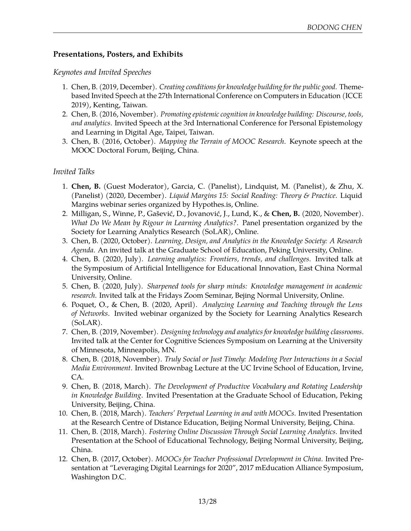## **Presentations, Posters, and Exhibits**

## *Keynotes and Invited Speeches*

- 1. Chen, B. (2019, December). *Creating conditions for knowledge building for the public good*. Themebased Invited Speech at the 27th International Conference on Computers in Education (ICCE 2019), Kenting, Taiwan.
- 2. Chen, B. (2016, November). *Promoting epistemic cognition in knowledge building: Discourse, tools, and analytics*. Invited Speech at the 3rd International Conference for Personal Epistemology and Learning in Digital Age, Taipei, Taiwan.
- 3. Chen, B. (2016, October). *Mapping the Terrain of MOOC Research*. Keynote speech at the MOOC Doctoral Forum, Beijing, China.

## *Invited Talks*

- 1. **Chen, B.** (Guest Moderator), Garcia, C. (Panelist), Lindquist, M. (Panelist), & Zhu, X. (Panelist) (2020, December). *[Liquid Margins 15: Social Reading: Theory & Practice](https://web.hypothes.is/event/lm015/)*. Liquid Margins webinar series organized by Hypothes.is, Online.
- 2. Milligan, S., Winne, P., Gašević, D., Jovanović, J., Lund, K., & **Chen, B.** (2020, November). *[What Do We Mean by Rigour in Learning Analytics?](https://www.eventbrite.com.au/e/solar-webinar-what-do-we-mean-by-rigour-in-learning-analytics-registration-123168563489)*. Panel presentation organized by the Society for Learning Analytics Research (SoLAR), Online.
- 3. Chen, B. (2020, October). *Learning, Design, and Analytics in the Knowledge Society: A Research Agenda*. An invited talk at the Graduate School of Education, Peking University, Online.
- 4. Chen, B. (2020, July). *Learning analytics: Frontiers, trends, and challenges*. Invited talk at the Symposium of Artificial Intelligence for Educational Innovation, East China Normal University, Online.
- 5. Chen, B. (2020, July). *Sharpened tools for sharp minds: Knowledge management in academic research*. Invited talk at the Fridays Zoom Seminar, Bejing Normal University, Online.
- 6. Poquet, O., & Chen, B. (2020, April). *[Analyzing Learning and Teaching through the Lens](https://www.eventbrite.com.au/e/analyzing-learning-and-teaching-through-the-lens-of-networks-registration-102270329308) [of Networks](https://www.eventbrite.com.au/e/analyzing-learning-and-teaching-through-the-lens-of-networks-registration-102270329308)*. Invited webinar organized by the Society for Learning Analytics Research (SoLAR).
- 7. Chen, B. (2019, November). *Designing technology and analytics for knowledge building classrooms*. Invited talk at the Center for Cognitive Sciences Symposium on Learning at the University of Minnesota, Minneapolis, MN.
- 8. Chen, B. (2018, November). *Truly Social or Just Timely: Modeling Peer Interactions in a Social Media Environment*. Invited Brownbag Lecture at the UC Irvine School of Education, Irvine, CA.
- 9. Chen, B. (2018, March). *The Development of Productive Vocabulary and Rotating Leadership in Knowledge Building*. Invited Presentation at the Graduate School of Education, Peking University, Beijing, China.
- 10. Chen, B. (2018, March). *Teachers' Perpetual Learning in and with MOOCs*. Invited Presentation at the Research Centre of Distance Education, Beijing Normal University, Beijing, China.
- 11. Chen, B. (2018, March). *Fostering Online Discussion Through Social Learning Analytics*. Invited Presentation at the School of Educational Technology, Beijing Normal University, Beijing, China.
- 12. Chen, B. (2017, October). *MOOCs for Teacher Professional Development in China*. Invited Presentation at "Leveraging Digital Learnings for 2020", 2017 mEducation Alliance Symposium, Washington D.C.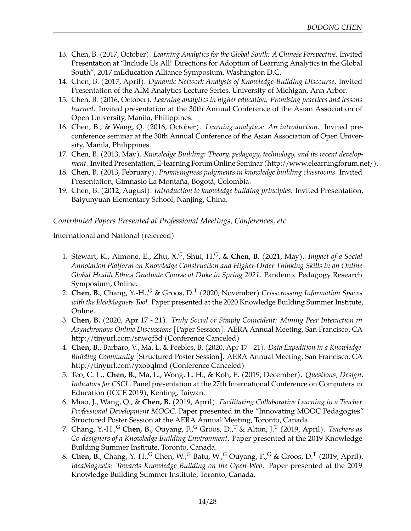- 13. Chen, B. (2017, October). *Learning Analytics for the Global South: A Chinese Perspective*. Invited Presentation at "Include Us All! Directions for Adoption of Learning Analytics in the Global South", 2017 mEducation Alliance Symposium, Washington D.C.
- 14. Chen, B. (2017, April). *Dynamic Network Analysis of Knowledge-Building Discourse*. Invited Presentation of the AIM Analytics Lecture Series, University of Michigan, Ann Arbor.
- 15. Chen, B. (2016, October). *Learning analytics in higher education: Promising practices and lessons learned*. Invited presentation at the 30th Annual Conference of the Asian Association of Open University, Manila, Philippines.
- 16. Chen, B., & Wang, Q. (2016, October). *Learning analytics: An introduction*. Invited preconference seminar at the 30th Annual Conference of the Asian Association of Open University, Manila, Philippines.
- 17. Chen, B. (2013, May). *Knowledge Building: Theory, pedagogy, technology, and its recent development*. Invited Presentation, E-learning Forum Online Seminar (http://www.elearningforum.net/).
- 18. Chen, B. (2013, February). *Promisingness judgments in knowledge building classrooms*. Invited Presentation, Gimnasio La Montaña, Bogotá, Colombia.
- 19. Chen, B. (2012, August). *Introduction to knowledge building principles*. Invited Presentation, Baiyunyuan Elementary School, Nanjing, China.

*Contributed Papers Presented at Professional Meetings, Conferences, etc.*

International and National (refereed)

- 1. Stewart, K., Aimone, E., Zhu, X.G, Shui, H.G, & **Chen, B.** (2021, May). *Impact of a Social Annotation Platform on Knowledge Construction and Higher-Order Thinking Skills in an Online Global Health Ethics Graduate Course at Duke in Spring 2021*. Pandemic Pedagogy Research Symposium, Online.
- 2. **Chen, B.**, Chang, Y.-H.,<sup>G</sup> & Groos, D.<sup>T</sup> (2020, November) *Crisscrossing Information Spaces with the IdeaMagnets Tool*. Paper presented at the 2020 Knowledge Building Summer Institute, Online.
- 3. **Chen, B.** (2020, Apr 17 21). *Truly Social or Simply Coincident: Mining Peer Interaction in Asynchronous Online Discussions* [Paper Session]. AERA Annual Meeting, San Francisco, CA http://tinyurl.com/snwqf5d (Conference Canceled)
- 4. **Chen, B.**, Barbaro, V., Ma, L. & Peebles, B. (2020, Apr 17 21). *Data Expedition in a Knowledge-Building Community* [Structured Poster Session]. AERA Annual Meeting, San Francisco, CA http://tinyurl.com/yxobqlmd (Conference Canceled)
- 5. Teo, C. L., **Chen, B.**, Ma, L., Wong, L. H., & Koh, E. (2019, December). *Questions, Design, Indicators for CSCL*. Panel presentation at the 27th International Conference on Computers in Education (ICCE 2019), Kenting, Taiwan.
- 6. Miao, J., Wang, Q., & **Chen, B.** (2019, April). *Facilitating Collaborative Learning in a Teacher Professional Development MOOC*. Paper presented in the "Innovating MOOC Pedagogies" Structured Poster Session at the AERA Annual Meeting, Toronto, Canada.
- 7. Chang, Y.-H.,<sup>G</sup> **Chen, B.**, Ouyang, F.,<sup>G</sup> Groos, D.,<sup>T</sup> & Alton, J.<sup>T</sup> (2019, April). *Teachers as Co-designers of a Knowledge Building Environment*. Paper presented at the 2019 Knowledge Building Summer Institute, Toronto, Canada.
- 8. Chen, B., Chang, Y.-H., GChen, W., GBatu, W., GOuyang, F., G& Groos, D.<sup>T</sup> (2019, April). *IdeaMagnets: Towards Knowledge Building on the Open Web*. Paper presented at the 2019 Knowledge Building Summer Institute, Toronto, Canada.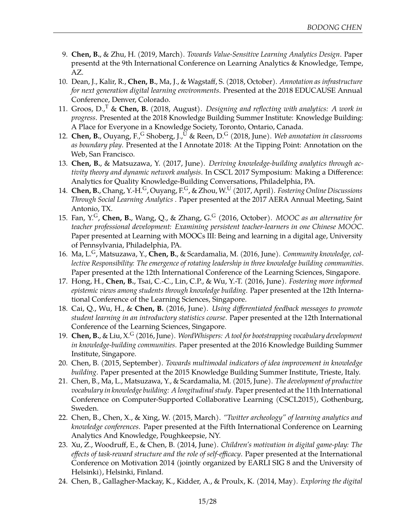- 9. **Chen, B.**, & Zhu, H. (2019, March). *Towards Value-Sensitive Learning Analytics Design*. Paper presentd at the 9th International Conference on Learning Analytics & Knowledge, Tempe, AZ.
- 10. Dean, J., Kalir, R., **Chen, B.**, Ma, J., & Wagstaff, S. (2018, October). *Annotation as infrastructure for next generation digital learning environments*. Presented at the 2018 EDUCAUSE Annual Conference, Denver, Colorado.
- 11. Groos, D.,<sup>T</sup> & **Chen, B.** (2018, August). *Designing and reflecting with analytics: A work in progress*. Presented at the 2018 Knowledge Building Summer Institute: Knowledge Building: A Place for Everyone in a Knowledge Society, Toronto, Ontario, Canada.
- 12. **Chen, B.**, Ouyang, F.,<sup>G</sup> Shoberg, J.,<sup>U</sup> & Reen, D.<sup>G</sup> (2018, June). *Web annotation in classrooms as boundary play*. Presented at the I Annotate 2018: At the Tipping Point: Annotation on the Web, San Francisco.
- 13. **Chen, B.**, & Matsuzawa, Y. (2017, June). *Deriving knowledge-building analytics through activity theory and dynamic network analysis*. In CSCL 2017 Symposium: Making a Difference: Analytics for Quality Knowledge-Building Conversations, Philadelphia, PA.
- 14. **Chen, B.**, Chang, Y.-H.G, Ouyang, F.G, & Zhou, W.<sup>U</sup> (2017, April). *Fostering Online Discussions Through Social Learning Analytics* . Paper presented at the 2017 AERA Annual Meeting, Saint Antonio, TX.
- 15. Fan, Y.G, **Chen, B.**, Wang, Q., & Zhang, G.<sup>G</sup> (2016, October). *MOOC as an alternative for teacher professional development: Examining persistent teacher-learners in one Chinese MOOC*. Paper presented at Learning with MOOCs III: Being and learning in a digital age, University of Pennsylvania, Philadelphia, PA.
- 16. Ma, L.G, Matsuzawa, Y., **Chen, B.**, & Scardamalia, M. (2016, June). *Community knowledge, collective Responsibility: The emergence of rotating leadership in three knowledge building communities*. Paper presented at the 12th International Conference of the Learning Sciences, Singapore.
- 17. Hong, H., **Chen, B.**, Tsai, C.-C., Lin, C.P., & Wu, Y.-T. (2016, June). *Fostering more informed epistemic views among students through knowledge building*. Paper presented at the 12th International Conference of the Learning Sciences, Singapore.
- 18. Cai, Q., Wu, H., & **Chen, B.** (2016, June). *Using differentiated feedback messages to promote student learning in an introductory statistics course*. Paper presented at the 12th International Conference of the Learning Sciences, Singapore.
- 19. **Chen, B.**, & Liu, X.<sup>G</sup> (2016, June). *WordWhispers: A tool for bootstrapping vocabulary development in knowledge-building communities*. Paper presented at the 2016 Knowledge Building Summer Institute, Singapore.
- 20. Chen, B. (2015, September). *Towards multimodal indicators of idea improvement in knowledge building*. Paper presented at the 2015 Knowledge Building Summer Institute, Trieste, Italy.
- 21. Chen, B., Ma, L., Matsuzawa, Y., & Scardamalia, M. (2015, June). *[The development of productive](http://www.slideshare.net/MlleLeanne/cscl-2015) [vocabulary in knowledge building: A longitudinal study](http://www.slideshare.net/MlleLeanne/cscl-2015)*. Paper presented at the 11th International Conference on Computer-Supported Collaborative Learning (CSCL2015), Gothenburg, Sweden.
- 22. Chen, B., Chen, X., & Xing, W. (2015, March). *["Twitter archeology" of learning analytics and](http://www.slideshare.net/dirkchen/lak15-twitterarcheology) [knowledge conferences](http://www.slideshare.net/dirkchen/lak15-twitterarcheology)*. Paper presented at the Fifth International Conference on Learning Analytics And Knowledge, Poughkeepsie, NY.
- 23. Xu, Z., Woodruff, E., & Chen, B. (2014, June). *Children's motivation in digital game-play: The effects of task-reward structure and the role of self-efficacy*. Paper presented at the International Conference on Motivation 2014 (jointly organized by EARLI SIG 8 and the University of Helsinki), Helsinki, Finland.
- 24. Chen, B., Gallagher-Mackay, K., Kidder, A., & Proulx, K. (2014, May). *Exploring the digital*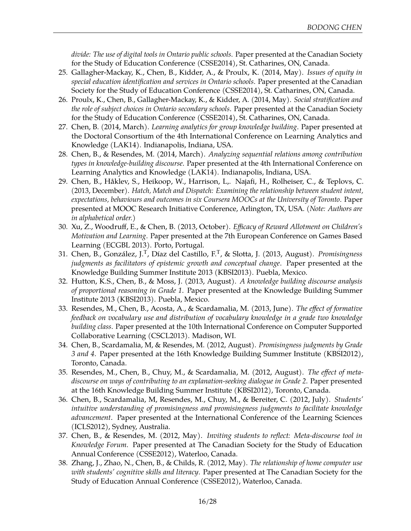*divide: The use of digital tools in Ontario public schools*. Paper presented at the Canadian Society for the Study of Education Conference (CSSE2014), St. Catharines, ON, Canada.

- 25. Gallagher-Mackay, K., Chen, B., Kidder, A., & Proulx, K. (2014, May). *Issues of equity in special education identification and services in Ontario schools*. Paper presented at the Canadian Society for the Study of Education Conference (CSSE2014), St. Catharines, ON, Canada.
- 26. Proulx, K., Chen, B., Gallagher-Mackay, K., & Kidder, A. (2014, May). *Social stratification and the role of subject choices in Ontario secondary schools*. Paper presented at the Canadian Society for the Study of Education Conference (CSSE2014), St. Catharines, ON, Canada.
- 27. Chen, B. (2014, March). *[Learning analytics for group knowledge building](http://rpubs.com/bodong/lak-dc)*. Paper presented at the Doctoral Consortium of the 4th International Conference on Learning Analytics and Knowledge (LAK14). Indianapolis, Indiana, USA.
- 28. Chen, B., & Resendes, M. (2014, March). *[Analyzing sequential relations among contribution](http://rpubs.com/bodong/lak14) [types in knowledge-building discourse](http://rpubs.com/bodong/lak14)*. Paper presented at the 4th International Conference on Learning Analytics and Knowledge (LAK14). Indianapolis, Indiana, USA.
- 29. Chen, B., Håklev, S., Heikoop, W., Harrison, L,. Najafi, H., Rolheiser, C., & Teplovs, C. (2013, December). *Hatch, Match and Dispatch: Examining the relationship between student intent, expectations, behaviours and outcomes in six Coursera MOOCs at the University of Toronto*. Paper presented at MOOC Research Initiative Conference, Arlington, TX, USA. (*Note: Authors are in alphabetical order.*)
- 30. Xu, Z., Woodruff, E., & Chen, B. (2013, October). *Efficacy of Reward Allotment on Children's Motivation and Learning*. Paper presented at the 7th European Conference on Games Based Learning (ECGBL 2013). Porto, Portugal.
- 31. Chen, B., González, J.<sup>T</sup> , Díaz del Castillo, F.<sup>T</sup> , & Slotta, J. (2013, August). *[Promisingness](http://dirkchen.github.io/kbsi13-pi/) [judgments as facilitators of epistemic growth and conceptual change](http://dirkchen.github.io/kbsi13-pi/)*. Paper presented at the Knowledge Building Summer Institute 2013 (KBSI2013). Puebla, Mexico.
- 32. Hutton, K.S., Chen, B., & Moss, J. (2013, August). *[A knowledge building discourse analysis](http://meefen.github.io/public/files/Hutton_et_al_KBSI2013_proportionalreasoning_final.pdf) [of proportional reasoning in Grade 1](http://meefen.github.io/public/files/Hutton_et_al_KBSI2013_proportionalreasoning_final.pdf)*. Paper presented at the Knowledge Building Summer Institute 2013 (KBSI2013). Puebla, Mexico.
- 33. Resendes, M., Chen, B., Acosta, A., & Scardamalia, M. (2013, June). *[The effect of formative](http://meefen.github.io/public/files/Resendes_et_al_CSCL2013.pdf) [feedback on vocabulary use and distribution of vocabulary knowledge in a grade two knowledge](http://meefen.github.io/public/files/Resendes_et_al_CSCL2013.pdf) [building class](http://meefen.github.io/public/files/Resendes_et_al_CSCL2013.pdf)*. Paper presented at the 10th International Conference on Computer Supported Collaborative Learning (CSCL2013). Madison, WI.
- 34. Chen, B., Scardamalia, M, & Resendes, M. (2012, August). *[Promisingness judgments by Grade](http://meefen.github.io/public/files/Chen_et_al_KBSI2012_Promisingness_grade_3_4.pdf) [3 and 4](http://meefen.github.io/public/files/Chen_et_al_KBSI2012_Promisingness_grade_3_4.pdf)*. Paper presented at the 16th Knowledge Building Summer Institute (KBSI2012), Toronto, Canada.
- 35. Resendes, M., Chen, B., Chuy, M., & Scardamalia, M. (2012, August). *[The effect of meta](http://ikit.org/SummerInstitute2012/Papers/3024-Resendes.pdf)[discourse on ways of contributing to an explanation-seeking dialogue in Grade 2](http://ikit.org/SummerInstitute2012/Papers/3024-Resendes.pdf)*. Paper presented at the 16th Knowledge Building Summer Institute (KBSI2012), Toronto, Canada.
- 36. Chen, B., Scardamalia, M, Resendes, M., Chuy, M., & Bereiter, C. (2012, July). *Students' intuitive understanding of promisingness and promisingness judgments to facilitate knowledge advancement*. Paper presented at the International Conference of the Learning Sciences (ICLS2012), Sydney, Australia.
- 37. Chen, B., & Resendes, M. (2012, May). *[Inviting students to reflect: Meta-discourse tool in](http://meefen.github.io/public/files/CSSE2012-Meta-tool.pdf) [Knowledge Forum](http://meefen.github.io/public/files/CSSE2012-Meta-tool.pdf)*. Paper presented at The Canadian Society for the Study of Education Annual Conference (CSSE2012), Waterloo, Canada.
- 38. Zhang, J., Zhao, N., Chen, B., & Childs, R. (2012, May). *The relationship of home computer use with students' cognitive skills and literacy*. Paper presented at The Canadian Society for the Study of Education Annual Conference (CSSE2012), Waterloo, Canada.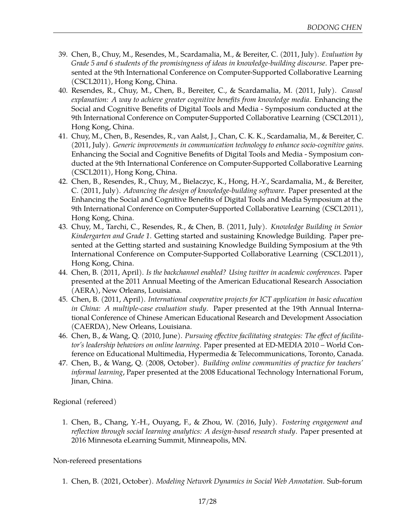- 39. Chen, B., Chuy, M., Resendes, M., Scardamalia, M., & Bereiter, C. (2011, July). *Evaluation by Grade 5 and 6 students of the promisingness of ideas in knowledge-building discourse*. Paper presented at the 9th International Conference on Computer-Supported Collaborative Learning (CSCL2011), Hong Kong, China.
- 40. Resendes, R., Chuy, M., Chen, B., Bereiter, C., & Scardamalia, M. (2011, July). *Causal explanation: A way to achieve greater cognitive benefits from knowledge media*. [Enhancing the](http://meefen.github.io/public/files/Laferriere_et_al_CSCL2011_enhancing.pdf) [Social and Cognitive Benefits of Digital Tools and Media](http://meefen.github.io/public/files/Laferriere_et_al_CSCL2011_enhancing.pdf) - Symposium conducted at the 9th International Conference on Computer-Supported Collaborative Learning (CSCL2011), Hong Kong, China.
- 41. Chuy, M., Chen, B., Resendes, R., van Aalst, J., Chan, C. K. K., Scardamalia, M., & Bereiter, C. (2011, July). *Generic improvements in communication technology to enhance socio-cognitive gains*. Enhancing the Social and Cognitive Benefits of Digital Tools and Media - Symposium conducted at the 9th International Conference on Computer-Supported Collaborative Learning (CSCL2011), Hong Kong, China.
- 42. Chen, B., Resendes, R., Chuy, M., Bielaczyc, K., Hong, H.-Y., Scardamalia, M., & Bereiter, C. (2011, July). *Advancing the design of knowledge-building software*. Paper presented at the Enhancing the Social and Cognitive Benefits of Digital Tools and Media Symposium at the 9th International Conference on Computer-Supported Collaborative Learning (CSCL2011), Hong Kong, China.
- 43. Chuy, M., Tarchi, C., Resendes, R., & Chen, B. (2011, July). *Knowledge Building in Senior Kindergarten and Grade 1*. Getting started and sustaining Knowledge Building. Paper presented at the [Getting started and sustaining Knowledge Building](http://meefen.github.io/public/files/Chuy_et_al_CSCL2011_gettingstarted.pdf) Symposium at the 9th International Conference on Computer-Supported Collaborative Learning (CSCL2011), Hong Kong, China.
- 44. Chen, B. (2011, April). *[Is the backchannel enabled? Using twitter in academic conferences](http://meefen.github.io/public/files/Chen_AERA2011_Twitter_backchannel.pdf)*. Paper presented at the 2011 Annual Meeting of the American Educational Research Association (AERA), New Orleans, Louisiana.
- 45. Chen, B. (2011, April). *[International cooperative projects for ICT application in basic education](http://meefen.github.io/public/files/Chen_CAERDA2011_International.pdf) [in China: A multiple-case evaluation study](http://meefen.github.io/public/files/Chen_CAERDA2011_International.pdf)*. Paper presented at the 19th Annual International Conference of Chinese American Educational Research and Development Association (CAERDA), New Orleans, Louisiana.
- 46. Chen, B., & Wang, Q. (2010, June). *Pursuing effective facilitating strategies: The effect of facilitator's leadership behaviors on online learning*. Paper presented at ED-MEDIA 2010 – World Conference on Educational Multimedia, Hypermedia & Telecommunications, Toronto, Canada.
- 47. Chen, B., & Wang, Q. (2008, October). *Building online communities of practice for teachers' informal learning*, Paper presented at the 2008 Educational Technology International Forum, Jinan, China.

Regional (refereed)

1. Chen, B., Chang, Y.-H., Ouyang, F., & Zhou, W. (2016, July). *[Fostering engagement and](http://www.slideshare.net/dirkchen/fostering-engagement-and-reflection-through-social-learning-analytics) [reflection through social learning analytics: A design-based research study](http://www.slideshare.net/dirkchen/fostering-engagement-and-reflection-through-social-learning-analytics)*. Paper presented at 2016 Minnesota eLearning Summit, Minneapolis, MN.

#### Non-refereed presentations

1. Chen, B. (2021, October). *Modeling Network Dynamics in Social Web Annotation*. Sub-forum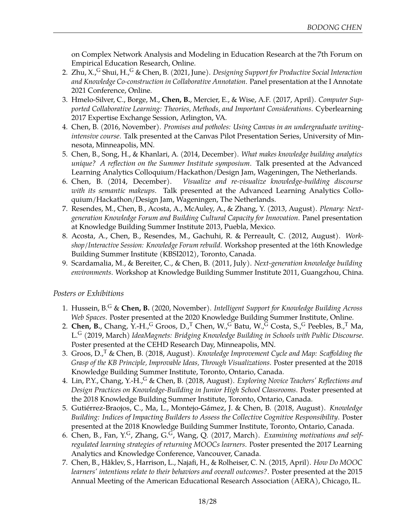on Complex Network Analysis and Modeling in Education Research at the 7th Forum on Empirical Education Research, Online.

- 2. Zhu, X., <sup>G</sup> Shui, H., <sup>G</sup> & Chen, B. (2021, June). *Designing Support for Productive Social Interaction and Knowledge Co-construction in Collaborative Annotation*. Panel presentation at the [I Annotate](https://iannotate.org/2021/) [2021 Conference,](https://iannotate.org/2021/) Online.
- 3. Hmelo-Silver, C., Borge, M., **Chen, B.**, Mercier, E., & Wise, A.F. (2017, April). *Computer Supported Collaborative Learning: Theories, Methods, and Important Considerations*. Cyberlearning 2017 Expertise Exchange Session, Arlington, VA.
- 4. Chen, B. (2016, November). *Promises and potholes: Using Canvas in an undergraduate writingintensive course*. Talk presented at the Canvas Pilot Presentation Series, University of Minnesota, Minneapolis, MN.
- 5. Chen, B., Song, H., & Khanlari, A. (2014, December). *[What makes knowledge building analytics](http://goo.gl/R23kMC) [unique? A reflection on the Summer Institute symposium](http://goo.gl/R23kMC)*. Talk presented at the Advanced Learning Analytics Colloquium/Hackathon/Design Jam, Wageningen, The Netherlands.
- 6. Chen, B. (2014, December). *[Visualize and re-visualize knowledge-building discourse](http://goo.gl/pDrzCg) [with its semantic makeups](http://goo.gl/pDrzCg)*. Talk presented at the Advanced Learning Analytics Colloquium/Hackathon/Design Jam, Wageningen, The Netherlands.
- 7. Resendes, M., Chen, B., Acosta, A., McAuley, A., & Zhang, Y. (2013, August). *Plenary: Nextgeneration Knowledge Forum and Building Cultural Capacity for Innovation*. Panel presentation at Knowledge Building Summer Institute 2013, Puebla, Mexico.
- 8. Acosta, A., Chen, B., Resendes, M., Gachuhi, R. & Perreault, C. (2012, August). *Workshop/Interactive Session: Knowledge Forum rebuild*. Workshop presented at the 16th Knowledge Building Summer Institute (KBSI2012), Toronto, Canada.
- 9. Scardamalia, M., & Bereiter, C., & Chen, B. (2011, July). *Next-generation knowledge building environments*. Workshop at Knowledge Building Summer Institute 2011, Guangzhou, China.

#### *Posters or Exhibitions*

- 1. Hussein, B.<sup>G</sup> & **Chen, B.** (2020, November). *Intelligent Support for Knowledge Building Across Web Spaces*. Poster presented at the 2020 Knowledge Building Summer Institute, Online.
- 2. **Chen, B.**, Chang, Y.-H.,<sup>G</sup> Groos, D.,<sup>T</sup> Chen, W.,<sup>G</sup> Batu, W.,<sup>G</sup> Costa, S.,<sup>G</sup> Peebles, B.,<sup>T</sup> Ma, L.<sup>G</sup> (2019, March) *IdeaMagnets: Bridging Knowledge Building in Schools with Public Discourse*. Poster presented at the CEHD Research Day, Minneapolis, MN.
- 3. Groos, D.,<sup>T</sup> & Chen, B. (2018, August). *Knowledge Improvement Cycle and Map: Scaffolding the Grasp of the KB Principle, Improvable Ideas, Through Visualizations*. Poster presented at the 2018 Knowledge Building Summer Institute, Toronto, Ontario, Canada.
- 4. Lin, P.Y., Chang, Y.-H.,<sup>G</sup> & Chen, B. (2018, August). *Exploring Novice Teachers' Reflections and Design Practices on Knowledge-Building in Junior High School Classrooms*. Poster presented at the 2018 Knowledge Building Summer Institute, Toronto, Ontario, Canada.
- 5. Gutiérrez-Braojos, C., Ma, L., Montejo-Gámez, J. & Chen, B. (2018, August). *Knowledge Building: Indices of Impacting Builders to Assess the Collective Cognitive Responsibility*. Poster presented at the 2018 Knowledge Building Summer Institute, Toronto, Ontario, Canada.
- 6. Chen, B., Fan, Y.G, Zhang, G.G, Wang, Q. (2017, March). *Examining motivations and selfregulated learning strategies of returning MOOCs learners*. Poster presented the 2017 Learning Analytics and Knowledge Conference, Vancouver, Canada.
- 7. Chen, B., Håklev, S., Harrison, L., Najafi, H., & Rolheiser, C. N. (2015, April). *[How Do MOOC](http://meefen.github.io/public/files/Chen_AERA2015_MOOC_Poster.pdf) [learners' intentions relate to their behaviors and overall outcomes?](http://meefen.github.io/public/files/Chen_AERA2015_MOOC_Poster.pdf)*. Poster presented at the 2015 Annual Meeting of the American Educational Research Association (AERA), Chicago, IL.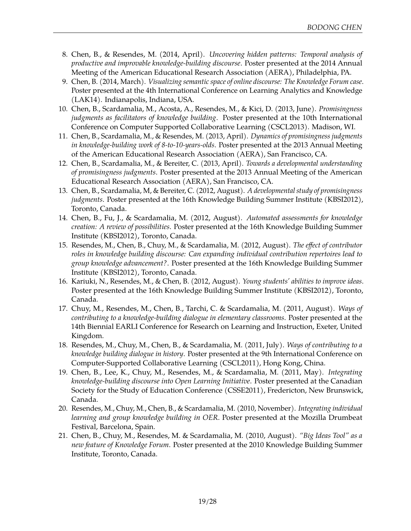- 8. Chen, B., & Resendes, M. (2014, April). *[Uncovering hidden patterns: Temporal analysis of](http://meefen.github.io/public/files/chen-2014-aera-temporal-poster.pdf) [productive and improvable knowledge-building discourse](http://meefen.github.io/public/files/chen-2014-aera-temporal-poster.pdf)*. Poster presented at the 2014 Annual Meeting of the American Educational Research Association (AERA), Philadelphia, PA.
- 9. Chen, B. (2014, March). *[Visualizing semantic space of online discourse: The Knowledge Forum case](http://meefen.github.io/public/files/lak14-chen-semantic-poster.pdf)*. Poster presented at the 4th International Conference on Learning Analytics and Knowledge (LAK14). Indianapolis, Indiana, USA.
- 10. Chen, B., Scardamalia, M., Acosta, A., Resendes, M., & Kici, D. (2013, June). *[Promisingness](http://meefen.github.io/public/files/Chen_et_al_CSCL2013_poster.pdf) [judgments as facilitators of knowledge building](http://meefen.github.io/public/files/Chen_et_al_CSCL2013_poster.pdf)*. Poster presented at the 10th International Conference on Computer Supported Collaborative Learning (CSCL2013). Madison, WI.
- 11. Chen, B., Scardamalia, M., & Resendes, M. (2013, April). *[Dynamics of promisingness judgments](http://meefen.github.io/public/files/Chen_AERA2013_Dynamics.pdf) [in knowledge-building work of 8-to-10-years-olds](http://meefen.github.io/public/files/Chen_AERA2013_Dynamics.pdf)*. Poster presented at the 2013 Annual Meeting of the American Educational Research Association (AERA), San Francisco, CA.
- 12. Chen, B., Scardamalia, M., & Bereiter, C. (2013, April). *[Towards a developmental understanding](http://meefen.github.io/public/files/Chen_AERA2013_Developmental.pdf) [of promisingness judgments](http://meefen.github.io/public/files/Chen_AERA2013_Developmental.pdf)*. Poster presented at the 2013 Annual Meeting of the American Educational Research Association (AERA), San Francisco, CA.
- 13. Chen, B., Scardamalia, M, & Bereiter, C. (2012, August). *[A developmental study of promisingness](http://meefen.github.io/public/files/Chen_et_al_KBSI2012Poster_Promisingness_developmental.pdf) [judgments](http://meefen.github.io/public/files/Chen_et_al_KBSI2012Poster_Promisingness_developmental.pdf)*. Poster presented at the 16th Knowledge Building Summer Institute (KBSI2012), Toronto, Canada.
- 14. Chen, B., Fu, J., & Scardamalia, M. (2012, August). *[Automated assessments for knowledge](http://meefen.github.io/public/files/Chen_et_al_KBSI2012Poster_Automated_assessments.pdf) [creation: A review of possibilities](http://meefen.github.io/public/files/Chen_et_al_KBSI2012Poster_Automated_assessments.pdf)*. Poster presented at the 16th Knowledge Building Summer Institute (KBSI2012), Toronto, Canada.
- 15. Resendes, M., Chen, B., Chuy, M., & Scardamalia, M. (2012, August). *[The effect of contributor](http://ikit.org/SummerInstitute2012/Abstracts/SI2012-Abstracts-Web.htm#3025) [roles in knowledge building discourse: Can expanding individual contribution repertoires lead to](http://ikit.org/SummerInstitute2012/Abstracts/SI2012-Abstracts-Web.htm#3025) [group knowledge advancement?](http://ikit.org/SummerInstitute2012/Abstracts/SI2012-Abstracts-Web.htm#3025)*. Poster presented at the 16th Knowledge Building Summer Institute (KBSI2012), Toronto, Canada.
- 16. Kariuki, N., Resendes, M., & Chen, B. (2012, August). *[Young students' abilities to improve ideas](http://ikit.org/SummerInstitute2012/Abstracts/SI2012-Abstracts-Web.htm#3057)*. Poster presented at the 16th Knowledge Building Summer Institute (KBSI2012), Toronto, Canada.
- 17. Chuy, M., Resendes, M., Chen, B., Tarchi, C. & Scardamalia, M. (2011, August). *Ways of contributing to a knowledge-building dialogue in elementary classrooms*. Poster presented at the 14th Biennial EARLI Conference for Research on Learning and Instruction, Exeter, United Kingdom.
- 18. Resendes, M., Chuy, M., Chen, B., & Scardamalia, M. (2011, July). *Ways of contributing to a knowledge building dialogue in history*. Poster presented at the 9th International Conference on Computer-Supported Collaborative Learning (CSCL2011), Hong Kong, China.
- 19. Chen, B., Lee, K., Chuy, M., Resendes, M., & Scardamalia, M. (2011, May). *[Integrating](http://meefen.github.io/public/files/Chen_et_all_CSSE2011_OLIKF.pdf) [knowledge-building discourse into Open Learning Initiative](http://meefen.github.io/public/files/Chen_et_all_CSSE2011_OLIKF.pdf)*. Poster presented at the Canadian Society for the Study of Education Conference (CSSE2011), Fredericton, New Brunswick, Canada.
- 20. Resendes, M., Chuy, M., Chen, B., & Scardamalia, M. (2010, November). *Integrating individual learning and group knowledge building in OER*. Poster presented at the Mozilla Drumbeat Festival, Barcelona, Spain.
- 21. Chen, B., Chuy, M., Resendes, M. & Scardamalia, M. (2010, August). *["Big Ideas Tool" as a](http://meefen.github.io/public/files/Chen_et_al_KBSI2010_Big_ideas_tool.pdf) [new feature of Knowledge Forum](http://meefen.github.io/public/files/Chen_et_al_KBSI2010_Big_ideas_tool.pdf)*. Poster presented at the 2010 Knowledge Building Summer Institute, Toronto, Canada.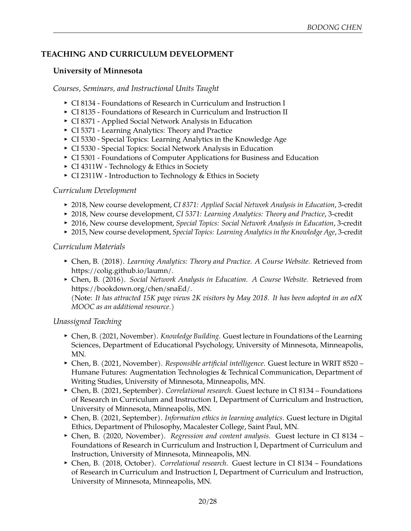# **TEACHING AND CURRICULUM DEVELOPMENT**

#### **University of Minnesota**

*Courses, Seminars, and Instructional Units Taught*

- <sup>I</sup> CI 8134 Foundations of Research in Curriculum and Instruction I
- CI 8135 Foundations of Research in Curriculum and Instruction II
- ▶ CI 8371 Applied Social Network Analysis in Education
- CI 5371 Learning Analytics: Theory and Practice
- CI 5330 Special Topics: Learning Analytics in the Knowledge Age
- $\triangleright$  CI 5330 Special Topics: Social Network Analysis in Education
- CI 5301 Foundations of Computer Applications for Business and Education
- CI 4311W Technology & Ethics in Society
- CI 2311W Introduction to Technology & Ethics in Society

### *Curriculum Development*

- <sup>I</sup> 2018, New course development, *CI 8371: Applied Social Network Analysis in Education*, 3-credit
- ▶ 2018, New course development, *CI 5371: Learning Analytics: Theory and Practice*, 3-credit
- <sup>I</sup> 2016, New course development, *Special Topics: Social Network Analysis in Education*, 3-credit
- <sup>I</sup> 2015, New course development, *Special Topics: Learning Analytics in the Knowledge Age*, 3-credit

### *Curriculum Materials*

- <sup>I</sup> Chen, B. (2018). *Learning Analytics: Theory and Practice. A Course Website.* Retrieved from https://colig.github.io/laumn/.
- <sup>I</sup> Chen, B. (2016). *Social Network Analysis in Education. A Course Website.* Retrieved from https://bookdown.org/chen/snaEd/. (Note: It has attracted 15K page views 2K visitors by May 2018. It has been adopted in [an edX](https://www.edx.org/course/social-network-analysis-sna-utarlingtonx-link-la-snax) *[MOOC](https://www.edx.org/course/social-network-analysis-sna-utarlingtonx-link-la-snax) as an additional resource.*)

## *Unassigned Teaching*

- ► Chen, B. (2021, November). *Knowledge Building*. Guest lecture in Foundations of the Learning Sciences, Department of Educational Psychology, University of Minnesota, Minneapolis, MN.
- <sup>I</sup> Chen, B. (2021, November). *Responsible artificial intelligence*. Guest lecture in WRIT 8520 Humane Futures: Augmentation Technologies & Technical Communication, Department of Writing Studies, University of Minnesota, Minneapolis, MN.
- ▶ Chen, B. (2021, September). *Correlational research*. Guest lecture in CI 8134 Foundations of Research in Curriculum and Instruction I, Department of Curriculum and Instruction, University of Minnesota, Minneapolis, MN.
- ► Chen, B. (2021, September). *Information ethics in learning analytics*. Guest lecture in Digital Ethics, Department of Philosophy, Macalester College, Saint Paul, MN.
- ► Chen, B. (2020, November). *Regression and content analysis*. Guest lecture in CI 8134 Foundations of Research in Curriculum and Instruction I, Department of Curriculum and Instruction, University of Minnesota, Minneapolis, MN.
- <sup>I</sup> Chen, B. (2018, October). *Correlational research*. Guest lecture in CI 8134 Foundations of Research in Curriculum and Instruction I, Department of Curriculum and Instruction, University of Minnesota, Minneapolis, MN.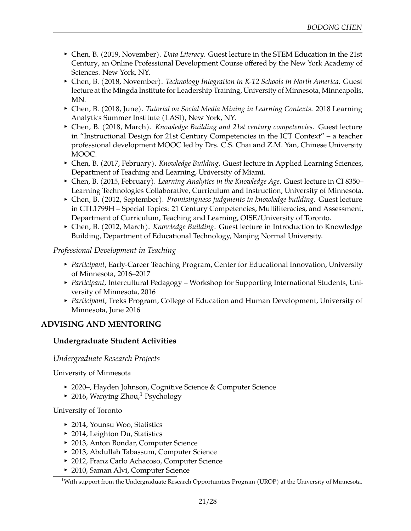- ► Chen, B. (2019, November). *Data Literacy*. Guest lecture in the [STEM Education in the 21st](https://www.nyas.org/events/2019/stem-instruction-in-the-21st-century/) [Century,](https://www.nyas.org/events/2019/stem-instruction-in-the-21st-century/) an Online Professional Development Course offered by the New York Academy of Sciences. New York, NY.
- ▶ Chen, B. (2018, November). *Technology Integration in K-12 Schools in North America*. Guest lecture at the Mingda Institute for Leadership Training, University of Minnesota, Minneapolis, MN.
- <sup>I</sup> Chen, B. (2018, June). *Tutorial on Social Media Mining in Learning Contexts*. 2018 Learning Analytics Summer Institute (LASI), New York, NY.
- ▶ Chen, B. (2018, March). *Knowledge Building and 21st century competencies*. Guest lecture in ["Instructional Design for 21st Century Competencies in the ICT Context"](http://www.icourse163.org/course/0401iCourse043-1002421002) – a teacher professional development MOOC led by Drs. C.S. Chai and Z.M. Yan, Chinese University MOOC.
- ▶ Chen, B. (2017, February). *Knowledge Building*. Guest lecture in Applied Learning Sciences, Department of Teaching and Learning, University of Miami.
- ► Chen, B. (2015, February). *Learning Analytics in the Knowledge Age*. Guest lecture in CI 8350– Learning Technologies Collaborative, Curriculum and Instruction, University of Minnesota.
- <sup>I</sup> Chen, B. (2012, September). *Promisingness judgments in knowledge building*. Guest lecture in CTL1799H – Special Topics: 21 Century Competencies, Multiliteracies, and Assessment, Department of Curriculum, Teaching and Learning, OISE/University of Toronto.
- ▶ Chen, B. (2012, March). *Knowledge Building*. Guest lecture in Introduction to Knowledge Building, Department of Educational Technology, Nanjing Normal University.

### *Professional Development in Teaching*

- **Participant, Early-Career Teaching Program, Center for Educational Innovation, University** of Minnesota, 2016–2017
- **Participant, Intercultural Pedagogy Workshop for Supporting International Students, Uni**versity of Minnesota, 2016
- **Participant, Treks Program, College of Education and Human Development, University of** Minnesota, June 2016

## **ADVISING AND MENTORING**

## **Undergraduate Student Activities**

#### *Undergraduate Research Projects*

University of Minnesota

- ▶ 2020–, Hayden Johnson, Cognitive Science & Computer Science
- $\sim$  20[1](#page-20-0)6, Wanying Zhou,<sup>1</sup> Psychology

University of Toronto

- ▶ 2014, Younsu Woo, Statistics
- $\blacktriangleright$  2014, Leighton Du, Statistics
- ▶ 2013, Anton Bondar, Computer Science
- ▶ 2013, Abdullah Tabassum, Computer Science
- ▶ 2012, Franz Carlo Achacoso, Computer Science
- ► 2010, Saman Alvi, Computer Science

<span id="page-20-0"></span> $1$ With support from the Undergraduate Research Opportunities Program (UROP) at the University of Minnesota.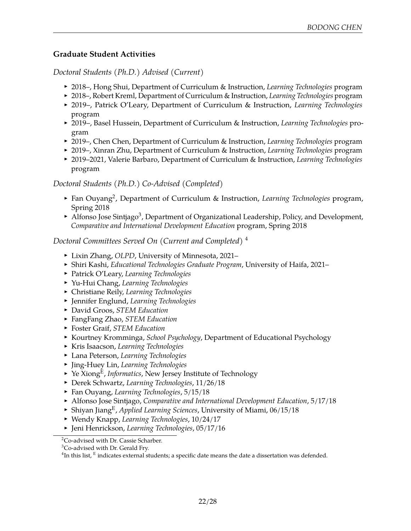## **Graduate Student Activities**

*Doctoral Students (Ph.D.) Advised (Current)*

- <sup>I</sup> 2018–, Hong Shui, Department of Curriculum & Instruction, *Learning Technologies* program
- <sup>I</sup> 2018–, Robert Kreml, Department of Curriculum & Instruction, *Learning Technologies* program
- <sup>I</sup> 2019–, Patrick O'Leary, Department of Curriculum & Instruction, *Learning Technologies* program
- <sup>I</sup> 2019–, Basel Hussein, Department of Curriculum & Instruction, *Learning Technologies* program
- <sup>I</sup> 2019–, Chen Chen, Department of Curriculum & Instruction, *Learning Technologies* program
- ▶ 2019–, Xinran Zhu, Department of Curriculum & Instruction, *Learning Technologies* program
- <sup>I</sup> 2019–2021, Valerie Barbaro, Department of Curriculum & Instruction, *Learning Technologies* program

*Doctoral Students (Ph.D.) Co-Advised (Completed)*

- **Fan Ouyang<sup>[2](#page-21-0)</sup>, Department of Curriculum & Instruction, Learning Technologies program,** Spring 2018
- Alfonso Jose Sintjago<sup>[3](#page-21-1)</sup>, Department of Organizational Leadership, Policy, and Development, *Comparative and International Development Education* program, Spring 2018

### *Doctoral Committees Served On (Current and Completed)* [4](#page-21-2)

- ► Lixin Zhang, *OLPD*, University of Minnesota, 2021–
- **Shiri Kashi,** *Educational Technologies Graduate Program***, University of Haifa, 2021–**
- <sup>I</sup> Patrick O'Leary, *Learning Technologies*
- <sup>I</sup> Yu-Hui Chang, *Learning Technologies*
- <sup>I</sup> Christiane Reily, *Learning Technologies*
- <sup>I</sup> Jennifer Englund, *Learning Technologies*
- <sup>I</sup> David Groos, *STEM Education*
- <sup>I</sup> FangFang Zhao, *STEM Education*
- <sup>I</sup> Foster Graif, *STEM Education*
- **EXECUTE:** Kourtney Kromminga, *School Psychology*, Department of Educational Psychology
- <sup>I</sup> Kris Isaacson, *Learning Technologies*
- <sup>I</sup> Lana Peterson, *Learning Technologies*
- <sup>I</sup> Jing-Huey Lin, *Learning Technologies*
- ▶ Ye Xiong<sup>E</sup>, *Informatics*, New Jersey Institute of Technology
- <sup>I</sup> Derek Schwartz, *Learning Technologies*, 11/26/18
- <sup>I</sup> Fan Ouyang, *Learning Technologies*, 5/15/18
- <sup>I</sup> Alfonso Jose Sintjago, *Comparative and International Development Education*, 5/17/18
- **Shiyan JiangE, Applied Learning Sciences, University of Miami, 06/15/18**
- <sup>I</sup> Wendy Knapp, *Learning Technologies*, 10/24/17
- <sup>I</sup> Jeni Henrickson, *Learning Technologies*, 05/17/16
- <span id="page-21-0"></span><sup>2</sup>Co-advised with Dr. Cassie Scharber.

<span id="page-21-1"></span> ${}^{3}$ Co-advised with Dr. Gerald Fry.

<span id="page-21-2"></span> $^4$ In this list,  $^{\rm E}$  indicates external students; a specific date means the date a dissertation was defended.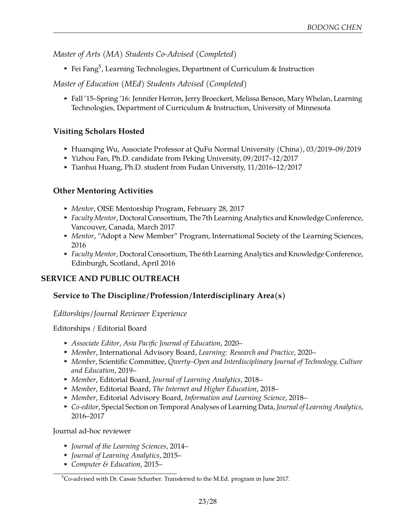*Master of Arts (MA) Students Co-Advised (Completed)*

 $\blacktriangleright$  Fei Fang $^5$  $^5$ , Learning Technologies, Department of Curriculum & Instruction

*Master of Education (MEd) Students Advised (Completed)*

► Fall '15–Spring '16: Jennifer Herron, Jerry Broeckert, Melissa Benson, Mary Whelan, Learning Technologies, Department of Curriculum & Instruction, University of Minnesota

## **Visiting Scholars Hosted**

- ► Huanqing Wu, Associate Professor at QuFu Normal University (China), 03/2019–09/2019
- ▶ Yizhou Fan, Ph.D. candidate from Peking University, 09/2017-12/2017
- ▶ Tianhui Huang, Ph.D. student from Fudan University, 11/2016–12/2017

#### **Other Mentoring Activities**

- <sup>I</sup> *Mentor*, OISE Mentorship Program, February 28, 2017
- **Faculty Mentor, Doctoral Consortium, The 7th Learning Analytics and Knowledge Conference,** Vancouver, Canada, March 2017
- **Mentor, "Adopt a New Member" Program, International Society of the Learning Sciences,** 2016
- **Faculty Mentor, Doctoral Consortium, The 6th Learning Analytics and Knowledge Conference,** Edinburgh, Scotland, April 2016

## **SERVICE AND PUBLIC OUTREACH**

## **Service to The Discipline/Profession/Interdisciplinary Area(s)**

#### *Editorships/Journal Reviewer Experience*

#### Editorships / Editorial Board

- <sup>I</sup> *Associate Editor*, *[Asia Pacific Journal of Education](https://www.tandfonline.com/cape)*, 2020–
- <sup>I</sup> *Member*, International Advisory Board, *[Learning: Research and Practice](https://www.tandfonline.com/toc/rlrp20/current)*, 2020–
- <sup>I</sup> *Member*, Scientific Committee, *Qwerty–Open and Interdisciplinary Journal of Technology, Culture and Education*, 2019–
- <sup>I</sup> *Member*, Editorial Board, *Journal of Learning Analytics*, 2018–
- <sup>I</sup> *Member*, Editorial Board, *The Internet and Higher Education*, 2018–
- <sup>I</sup> *Member*, Editorial Advisory Board, *Information and Learning Science*, 2018–
- <sup>I</sup> *Co-editor*, [Special Section on Temporal Analyses of Learning Data,](http://learning-analytics.info/journals/index.php/JLA/announcement/view/119) *Journal of Learning Analytics*, 2016–2017

Journal ad-hoc reviewer

- <sup>I</sup> *Journal of the Learning Sciences*, 2014–
- <sup>I</sup> *Journal of Learning Analytics*, 2015–
- <sup>I</sup> *Computer & Education*, 2015–

<span id="page-22-0"></span><sup>5</sup>Co-advised with Dr. Cassie Scharber. Transferred to the M.Ed. program in June 2017.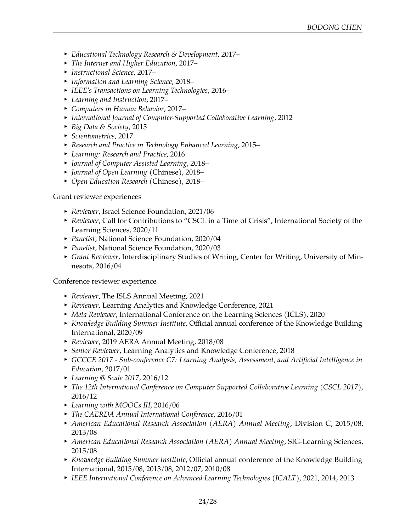- <sup>I</sup> *Educational Technology Research & Development*, 2017–
- <sup>I</sup> *The Internet and Higher Education*, 2017–
- <sup>I</sup> *Instructional Science*, 2017–
- <sup>I</sup> *Information and Learning Science*, 2018–
- <sup>I</sup> *IEEE's Transactions on Learning Technologies*, 2016–
- <sup>I</sup> *Learning and Instruction*, 2017–
- <sup>I</sup> *Computers in Human Behavior*, 2017–
- **•** International Journal of Computer-Supported Collaborative Learning, 2012
- <sup>I</sup> *Big Data & Society*, 2015
- <sup>I</sup> *Scientometrics*, 2017
- <sup>I</sup> *Research and Practice in Technology Enhanced Learning*, 2015–
- <sup>I</sup> *Learning: Research and Practice*, 2016
- <sup>I</sup> *Journal of Computer Assisted Learning*, 2018–
- <sup>I</sup> *Journal of Open Learning* (Chinese), 2018–
- <sup>I</sup> *Open Education Research* (Chinese), 2018–

Grant reviewer experiences

- ▶ *Reviewer*, Israel Science Foundation, 2021/06
- **Reviewer, Call for Contributions to "CSCL in a Time of Crisis", International Society of the** Learning Sciences, 2020/11
- **Panelist, National Science Foundation, 2020/04**
- **Panelist, National Science Foundation, 2020/03**
- <sup>I</sup> *Grant Reviewer*, Interdisciplinary Studies of Writing, Center for Writing, University of Minnesota, 2016/04

Conference reviewer experience

- ▶ *Reviewer*, The ISLS Annual Meeting, 2021
- <sup>I</sup> *Reviewer*, Learning Analytics and Knowledge Conference, 2021
- **Meta Reviewer, International Conference on the Learning Sciences (ICLS), 2020**
- **K** *Knowledge Building Summer Institute, Official annual conference of the Knowledge Building* International, 2020/09
- <sup>I</sup> *Reviewer*, 2019 AERA Annual Meeting, 2018/08
- **F** Senior Reviewer, Learning Analytics and Knowledge Conference, 2018
- <sup>I</sup> *GCCCE 2017 - [Sub-conference C7:](http://aic-fe.bnu.edu.cn/gccce2017/papers/cfp/yw/17482.html) Learning Analysis, Assessment, and Artificial Intelligence in Education*, 2017/01
- <sup>I</sup> *Learning @ Scale 2017*, 2016/12
- **Fig. 21.** The 12th International Conference on Computer Supported Collaborative Learning (CSCL 2017), 2016/12
- Learning with MOOCs III, 2016/06
- <sup>I</sup> *The CAERDA Annual International Conference*, 2016/01
- <sup>I</sup> *American Educational Research Association (AERA) Annual Meeting*, Division C, 2015/08, 2013/08
- **American Educational Research Association (AERA) Annual Meeting, SIG-Learning Sciences,** 2015/08
- **K** *Knowledge Building Summer Institute, Official annual conference of the Knowledge Building* International, 2015/08, 2013/08, 2012/07, 2010/08
- <sup>I</sup> *IEEE International Conference on Advanced Learning Technologies (ICALT)*, 2021, 2014, 2013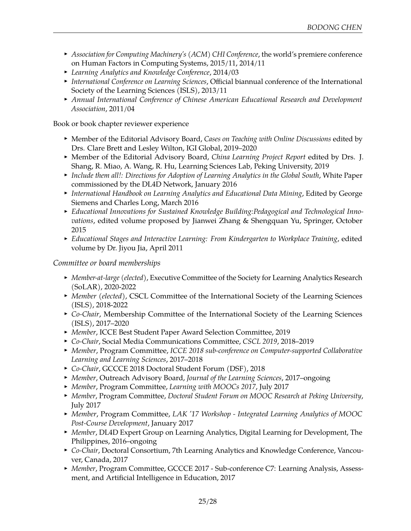- **Association for Computing Machinery's (ACM) CHI Conference, the world's premiere conference** on Human Factors in Computing Systems, 2015/11, 2014/11
- <sup>I</sup> *Learning Analytics and Knowledge Conference*, 2014/03
- **International Conference on Learning Sciences, Official biannual conference of the International** Society of the Learning Sciences (ISLS), 2013/11
- **Annual International Conference of Chinese American Educational Research and Development** *Association*, 2011/04

Book or book chapter reviewer experience

- **Member of the Editorial Advisory Board, Cases on Teaching with Online Discussions edited by** Drs. Clare Brett and Lesley Wilton, IGI Global, 2019–2020
- **Member of the Editorial Advisory Board,** *China Learning Project Report* **edited by Drs. J.** Shang, R. Miao, A. Wang, R. Hu, Learning Sciences Lab, Peking University, 2019
- **Include them all!: Directions for Adoption of Learning Analytics in the Global South, White Paper** commissioned by the DL4D Network, January 2016
- **International Handbook on Learning Analytics and Educational Data Mining, Edited by George** Siemens and Charles Long, March 2016
- **Educational Innovations for Sustained Knowledge Building: Pedagogical and Technological Inno***vations*, edited volume proposed by Jianwei Zhang & Shengquan Yu, Springer, October 2015
- **Educational Stages and Interactive Learning: From Kindergarten to Workplace Training, edited >>** volume by Dr. Jiyou Jia, April 2011

### *Committee or board memberships*

- <sup>I</sup> *Member-at-large (elected)*, Executive Committee of the Society for Learning Analytics Research (SoLAR), 2020-2022
- **Member (elected), CSCL Committee of the International Society of the Learning Sciences** (ISLS), 2018-2022
- ► *Co-Chair*, Membership Committee of the International Society of the Learning Sciences (ISLS), 2017–2020
- **Member, ICCE Best Student Paper Award Selection Committee, 2019**
- <sup>I</sup> *Co-Chair*, Social Media Communications Committee, *CSCL 2019*, 2018–2019
- **Member, Program Committee, ICCE 2018 sub-conference on Computer-supported Collaborative** *Learning and Learning Sciences*, 2017–2018
- <sup>I</sup> *Co-Chair*, GCCCE 2018 Doctoral Student Forum (DSF), 2018
- <sup>I</sup> *Member*, Outreach Advisory Board, *Journal of the Learning Sciences*, 2017–ongoing
- <sup>I</sup> *Member*, Program Committee, *Learning with MOOCs 2017*, July 2017
- <sup>I</sup> *Member*, Program Committee, *Doctoral Student Forum on MOOC Research at Peking University*, July 2017
- <sup>I</sup> *Member*, Program Committee, *LAK '17 Workshop - [Integrated Learning Analytics of MOOC](https://dan7davis.github.io/post-MOOC/) [Post-Course Development](https://dan7davis.github.io/post-MOOC/)*, January 2017
- **Member, [DL4D Expert Group on Learning Analytics,](http://dl4d.org/spotlight/) Digital Learning for Development, The** Philippines, 2016–ongoing
- ► *Co-Chair*, Doctoral Consortium, 7th Learning Analytics and Knowledge Conference, Vancouver, Canada, 2017
- **Member, Program Committee, GCCCE 2017 - [Sub-conference C7:](http://aic-fe.bnu.edu.cn/gccce2017/papers/cfp/yw/17482.html) Learning Analysis, Assess**ment, and Artificial Intelligence in Education, 2017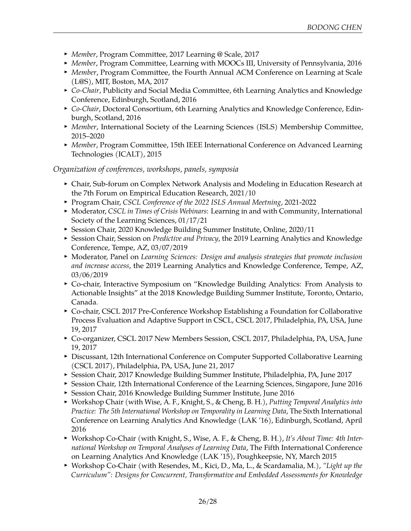- *Member*, Program Committee, 2017 Learning @ Scale, 2017
- **Member, Program Committee, Learning with MOOCs III, University of Pennsylvania, 2016**
- **Member, Program Committee, the Fourth Annual ACM Conference on Learning at Scale** (L@S), MIT, Boston, MA, 2017
- **Co-Chair, Publicity and Social Media Committee, 6th Learning Analytics and Knowledge** Conference, Edinburgh, Scotland, 2016
- **Co-Chair, Doctoral Consortium, 6th Learning Analytics and Knowledge Conference, Edin**burgh, Scotland, 2016
- **Member, International Society of the Learning Sciences (ISLS) Membership Committee,** 2015–2020
- ▶ *Member*, Program Committee, 15th IEEE International Conference on Advanced Learning Technologies (ICALT), 2015

### *Organization of conferences, workshops, panels, symposia*

- **F** Chair, Sub-forum on Complex Network Analysis and Modeling in Education Research at the 7th Forum on Empirical Education Research, 2021/10
- <sup>I</sup> Program Chair, *CSCL Conference of the 2022 ISLS Annual Meetning*, 2021-2022
- ▶ Moderator, *CSCL in Times of Crisis Webinars*: [Learning in and with Community,](https://www.isls.org/event/learning-in-and-with-community/) International Society of the Learning Sciences, 01/17/21
- ▶ Session Chair, 2020 Knowledge Building Summer Institute, Online, 2020/11
- <sup>I</sup> Session Chair, Session on *Predictive and Privacy*, the 2019 Learning Analytics and Knowledge Conference, Tempe, AZ, 03/07/2019
- <sup>I</sup> Moderator, Panel on *Learning Sciences: Design and analysis strategies that promote inclusion and increase access*, the 2019 Learning Analytics and Knowledge Conference, Tempe, AZ, 03/06/2019
- ▶ Co-chair, Interactive Symposium on "Knowledge Building Analytics: From Analysis to Actionable Insights" at the 2018 Knowledge Building Summer Institute, Toronto, Ontario, Canada.
- ► Co-chair, [CSCL 2017 Pre-Conference Workshop Establishing a Foundation for Collaborative](https://cpeas-cscl.github.io/) [Process Evaluation and Adaptive Support in CSCL,](https://cpeas-cscl.github.io/) CSCL 2017, Philadelphia, PA, USA, June 19, 2017
- Go-organizer, CSCL 2017 New Members Session, CSCL 2017, Philadelphia, PA, USA, June 19, 2017
- **Discussant, 12th International Conference on Computer Supported Collaborative Learning** (CSCL 2017), Philadelphia, PA, USA, June 21, 2017
- **Session Chair, 2017 Knowledge Building Summer Institute, Philadelphia, PA, June 2017**
- **EXECT:** Session Chair, 12th International Conference of the Learning Sciences, Singapore, June 2016
- **Session Chair, 2016 Knowledge Building Summer Institute, June 2016**
- <sup>I</sup> Workshop Chair (with Wise, A. F., Knight, S., & Cheng, B. H.), *[Putting Temporal Analytics into](http://lak16time.github.io/) [Practice: The 5th International Workshop on Temporality in Learning Data](http://lak16time.github.io/)*, The Sixth International Conference on Learning Analytics And Knowledge (LAK '16), Edinburgh, Scotland, April 2016
- <sup>I</sup> Workshop Co-Chair (with Knight, S., Wise, A. F., & Cheng, B. H.), *[It's About Time: 4th Inter](http://lak15time.github.io/)[national Workshop on Temporal Analyses of Learning Data](http://lak15time.github.io/)*, The Fifth International Conference on Learning Analytics And Knowledge (LAK '15), Poughkeepsie, NY, March 2015
- <sup>I</sup> Workshop Co-Chair (with Resendes, M., Kici, D., Ma, L., & Scardamalia, M.), *"Light up the Curriculum": Designs for Concurrent, Transformative and Embedded Assessments for Knowledge*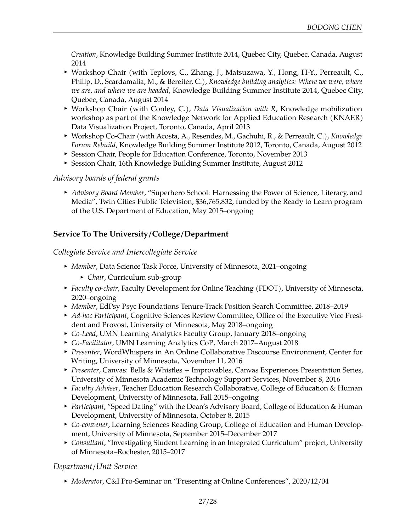*Creation*, Knowledge Building Summer Institute 2014, Quebec City, Quebec, Canada, August 2014

- ▶ Workshop Chair (with Teplovs, C., Zhang, J., Matsuzawa, Y., Hong, H-Y., Perreault, C., Philip, D., Scardamalia, M., & Bereiter, C.), *Knowledge building analytics: Where we were, where we are, and where we are headed*, Knowledge Building Summer Institute 2014, Quebec City, Quebec, Canada, August 2014
- ▶ Workshop Chair (with Conley, C.), *[Data Visualization with R](http://rpubs.com/bodong/data-vis-with-r)*, Knowledge mobilization workshop as part of the Knowledge Network for Applied Education Research (KNAER) Data Visualization Project, Toronto, Canada, April 2013
- ▶ Workshop Co-Chair (with Acosta, A., Resendes, M., Gachuhi, R., & Perreault, C.), *Knowledge Forum Rebuild*, Knowledge Building Summer Institute 2012, Toronto, Canada, August 2012
- **Exercise Session Chair, People for Education Conference, Toronto, November 2013**
- **EXEL Session Chair, 16th Knowledge Building Summer Institute, August 2012**

#### *Advisory boards of federal grants*

**• Advisory Board Member, "Superhero School: Harnessing the Power of Science, Literacy, and** Media", Twin Cities Public Television, \$36,765,832, funded by the Ready to Learn program of the U.S. Department of Education, May 2015–ongoing

## **Service To The University/College/Department**

*Collegiate Service and Intercollegiate Service*

- *Member*, Data Science Task Force, University of Minnesota, 2021–ongoing
	- ► *Chair*, Curriculum sub-group
- **Faculty co-chair, Faculty Development for Online Teaching (FDOT), University of Minnesota,** 2020–ongoing
- **Member, EdPsy Psyc Foundations Tenure-Track Position Search Committee, 2018–2019**
- ▶ *Ad-hoc Participant,* Cognitive Sciences Review Committee, Office of the Executive Vice President and Provost, University of Minnesota, May 2018–ongoing
- ► *Co-Lead*, UMN Learning Analytics Faculty Group, January 2018–ongoing
- <sup>I</sup> *Co-Facilitator*, [UMN Learning Analytics CoP,](https://cei.umn.edu/learning-analytics-community-practice) March 2017–August 2018
- **Presenter, WordWhispers in An Online Collaborative Discourse Environment, Center for** Writing, University of Minnesota, November 11, 2016
- **Presenter, [Canvas: Bells & Whistles + Improvables,](https://www.youtube.com/watch?v=ae40ckk-PjM) Canvas Experiences Presentation Series,** University of Minnesota Academic Technology Support Services, November 8, 2016
- **Faculty Adviser, Teacher Education Research Collaborative, College of Education & Human** Development, University of Minnesota, Fall 2015–ongoing
- **Participant, "Speed Dating" with the Dean's Advisory Board, College of Education & Human** Development, University of Minnesota, October 8, 2015
- **Co-convener, Learning Sciences Reading Group, College of Education and Human Develop**ment, University of Minnesota, September 2015–December 2017
- **EXEC** *Consultant, "Investigating Student Learning in an Integrated Curriculum" project, University* of Minnesota–Rochester, 2015–2017

## *Department/Unit Service*

<sup>I</sup> *Moderator*, C&I Pro-Seminar on "Presenting at Online Conferences", 2020/12/04